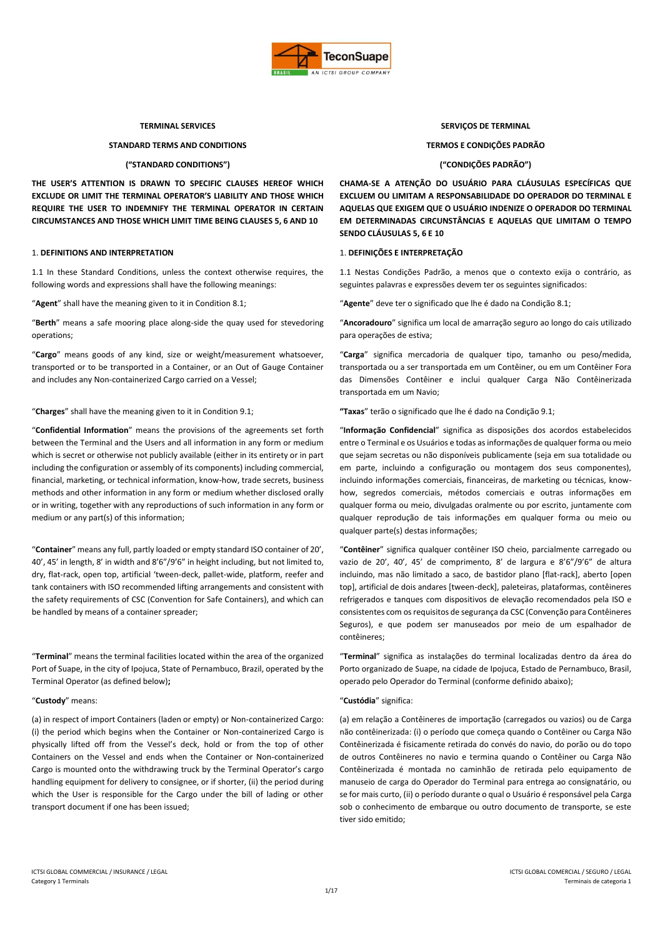

## **TERMINAL SERVICES SERVIÇOS DE TERMINAL**

# **STANDARD TERMS AND CONDITIONS TERMOS E CONDIÇÕES PADRÃO**

# **("STANDARD CONDITIONS") ("CONDIÇÕES PADRÃO")**

**THE USER'S ATTENTION IS DRAWN TO SPECIFIC CLAUSES HEREOF WHICH EXCLUDE OR LIMIT THE TERMINAL OPERATOR'S LIABILITY AND THOSE WHICH REQUIRE THE USER TO INDEMNIFY THE TERMINAL OPERATOR IN CERTAIN CIRCUMSTANCES AND THOSE WHICH LIMIT TIME BEING CLAUSES 5, 6 AND 10**

# 1. **DEFINITIONS AND INTERPRETATION** 1. **DEFINIÇÕES E INTERPRETAÇÃO**

1.1 In these Standard Conditions, unless the context otherwise requires, the following words and expressions shall have the following meanings:

"**Agent**" shall have the meaning given to it in Condition 8.1; "**Agente**" deve ter o significado que lhe é dado na Condição 8.1;

"**Berth**" means a safe mooring place along-side the quay used for stevedoring operations;

"**Cargo**" means goods of any kind, size or weight/measurement whatsoever, transported or to be transported in a Container, or an Out of Gauge Container and includes any Non-containerized Cargo carried on a Vessel;

# "**Charges**" shall have the meaning given to it in Condition 9.1; **"Taxas**" terão o significado que lhe é dado na Condição 9.1;

"**Confidential Information**" means the provisions of the agreements set forth between the Terminal and the Users and all information in any form or medium which is secret or otherwise not publicly available (either in its entirety or in part including the configuration or assembly of its components) including commercial, financial, marketing, or technical information, know-how, trade secrets, business methods and other information in any form or medium whether disclosed orally or in writing, together with any reproductions of such information in any form or medium or any part(s) of this information;

"**Container**" means any full, partly loaded or empty standard ISO container of 20', 40', 45' in length, 8' in width and 8'6"/9'6" in height including, but not limited to, dry, flat-rack, open top, artificial 'tween-deck, pallet-wide, platform, reefer and tank containers with ISO recommended lifting arrangements and consistent with the safety requirements of CSC (Convention for Safe Containers), and which can be handled by means of a container spreader;

"**Terminal**" means the terminal facilities located within the area of the organized Port of Suape, in the city of Ipojuca, State of Pernambuco, Brazil, operated by the Terminal Operator (as defined below)**;**

(a) in respect of import Containers (laden or empty) or Non-containerized Cargo: (i) the period which begins when the Container or Non-containerized Cargo is physically lifted off from the Vessel's deck, hold or from the top of other Containers on the Vessel and ends when the Container or Non-containerized Cargo is mounted onto the withdrawing truck by the Terminal Operator's cargo handling equipment for delivery to consignee, or if shorter, (ii) the period during which the User is responsible for the Cargo under the bill of lading or other transport document if one has been issued;

**CHAMA-SE A ATENÇÃO DO USUÁRIO PARA CLÁUSULAS ESPECÍFICAS QUE EXCLUEM OU LIMITAM A RESPONSABILIDADE DO OPERADOR DO TERMINAL E AQUELAS QUE EXIGEM QUE O USUÁRIO INDENIZE O OPERADOR DO TERMINAL EM DETERMINADAS CIRCUNSTÂNCIAS E AQUELAS QUE LIMITAM O TEMPO SENDO CLÁUSULAS 5, 6 E 10**

1.1 Nestas Condições Padrão, a menos que o contexto exija o contrário, as seguintes palavras e expressões devem ter os seguintes significados:

"**Ancoradouro**" significa um local de amarração seguro ao longo do cais utilizado para operações de estiva;

"**Carga**" significa mercadoria de qualquer tipo, tamanho ou peso/medida, transportada ou a ser transportada em um Contêiner, ou em um Contêiner Fora das Dimensões Contêiner e inclui qualquer Carga Não Contêinerizada transportada em um Navio;

"**Informação Confidencial**" significa as disposições dos acordos estabelecidos entre o Terminal e os Usuários e todas as informações de qualquer forma ou meio que sejam secretas ou não disponíveis publicamente (seja em sua totalidade ou em parte, incluindo a configuração ou montagem dos seus componentes), incluindo informações comerciais, financeiras, de marketing ou técnicas, knowhow, segredos comerciais, métodos comerciais e outras informações em qualquer forma ou meio, divulgadas oralmente ou por escrito, juntamente com qualquer reprodução de tais informações em qualquer forma ou meio ou qualquer parte(s) destas informações;

"**Contêiner**" significa qualquer contêiner ISO cheio, parcialmente carregado ou vazio de 20', 40', 45' de comprimento, 8' de largura e 8'6"/9'6" de altura incluindo, mas não limitado a saco, de bastidor plano [flat-rack], aberto [open top], artificial de dois andares [tween-deck], paleteiras, plataformas, contêineres refrigerados e tanques com dispositivos de elevação recomendados pela ISO e consistentes com os requisitos de segurança da CSC (Convenção para Contêineres Seguros), e que podem ser manuseados por meio de um espalhador de contêineres;

"**Terminal**" significa as instalações do terminal localizadas dentro da área do Porto organizado de Suape, na cidade de Ipojuca, Estado de Pernambuco, Brasil, operado pelo Operador do Terminal (conforme definido abaixo);

# "**Custody**" means: "**Custódia**" significa:

(a) em relação a Contêineres de importação (carregados ou vazios) ou de Carga não contêinerizada: (i) o período que começa quando o Contêiner ou Carga Não Contêinerizada é fisicamente retirada do convés do navio, do porão ou do topo de outros Contêineres no navio e termina quando o Contêiner ou Carga Não Contêinerizada é montada no caminhão de retirada pelo equipamento de manuseio de carga do Operador do Terminal para entrega ao consignatário, ou se for mais curto, (ii) o período durante o qual o Usuário é responsável pela Carga sob o conhecimento de embarque ou outro documento de transporte, se este tiver sido emitido;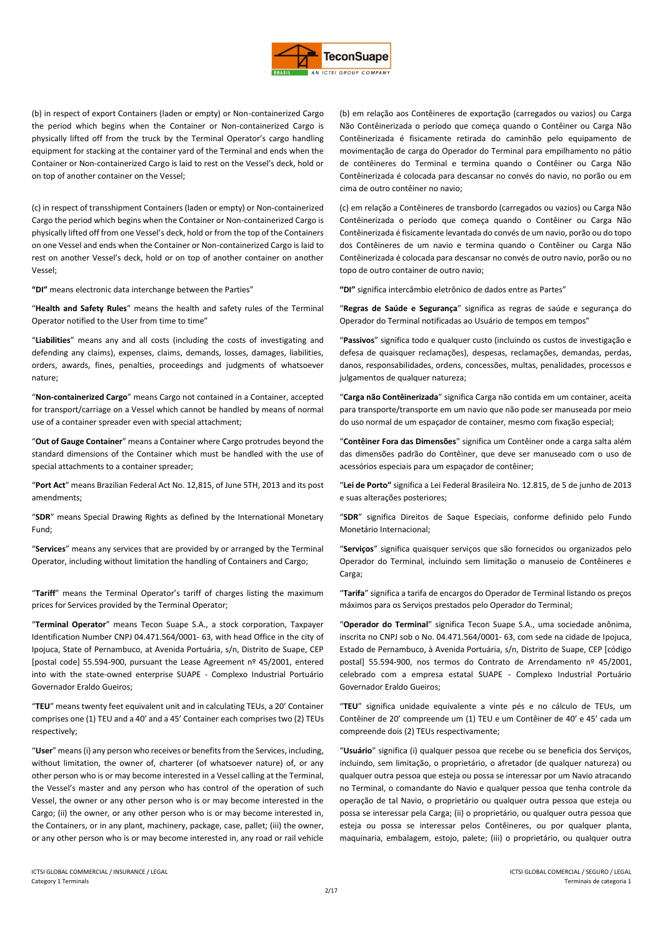

(b) in respect of export Containers (laden or empty) or Non-containerized Cargo the period which begins when the Container or Non-containerized Cargo is physically lifted off from the truck by the Terminal Operator's cargo handling equipment for stacking at the container yard of the Terminal and ends when the Container or Non-containerized Cargo is laid to rest on the Vessel's deck, hold or on top of another container on the Vessel;

(c) in respect of transshipment Containers (laden or empty) or Non-containerized Cargo the period which begins when the Container or Non-containerized Cargo is physically lifted off from one Vessel's deck, hold or from the top of the Containers on one Vessel and ends when the Container or Non-containerized Cargo is laid to rest on another Vessel's deck, hold or on top of another container on another Vessel;

**"DI"** means electronic data interchange between the Parties" **"DI"** significa intercâmbio eletrônico de dados entre as Partes"

"**Health and Safety Rules**" means the health and safety rules of the Terminal Operator notified to the User from time to time"

"**Liabilities**" means any and all costs (including the costs of investigating and defending any claims), expenses, claims, demands, losses, damages, liabilities, orders, awards, fines, penalties, proceedings and judgments of whatsoever nature;

"**Non-containerized Cargo**" means Cargo not contained in a Container, accepted for transport/carriage on a Vessel which cannot be handled by means of normal use of a container spreader even with special attachment;

"**Out of Gauge Container**" means a Container where Cargo protrudes beyond the standard dimensions of the Container which must be handled with the use of special attachments to a container spreader:

"**Port Act**" means Brazilian Federal Act No. 12,815, of June 5TH, 2013 and its post amendments;

"**SDR**" means Special Drawing Rights as defined by the International Monetary Fund;

"**Services**" means any services that are provided by or arranged by the Terminal Operator, including without limitation the handling of Containers and Cargo;

"**Tariff**" means the Terminal Operator's tariff of charges listing the maximum prices for Services provided by the Terminal Operator;

"**Terminal Operator**" means Tecon Suape S.A., a stock corporation, Taxpayer Identification Number CNPJ 04.471.564/0001- 63, with head Office in the city of Ipojuca, State of Pernambuco, at Avenida Portuária, s/n, Distrito de Suape, CEP [postal code] 55.594-900, pursuant the Lease Agreement nº 45/2001, entered into with the state-owned enterprise SUAPE - Complexo Industrial Portuário Governador Eraldo Gueiros;

"**TEU**" means twenty feet equivalent unit and in calculating TEUs, a 20' Container comprises one (1) TEU and a 40' and a 45' Container each comprises two (2) TEUs respectively;

"**User**" means (i) any person who receives or benefits from the Services, including, without limitation, the owner of, charterer (of whatsoever nature) of, or any other person who is or may become interested in a Vessel calling at the Terminal, the Vessel's master and any person who has control of the operation of such Vessel, the owner or any other person who is or may become interested in the Cargo; (ii) the owner, or any other person who is or may become interested in, the Containers, or in any plant, machinery, package, case, pallet; (iii) the owner, or any other person who is or may become interested in, any road or rail vehicle

(b) em relação aos Contêineres de exportação (carregados ou vazios) ou Carga Não Contêinerizada o período que começa quando o Contêiner ou Carga Não Contêinerizada é fisicamente retirada do caminhão pelo equipamento de movimentação de carga do Operador do Terminal para empilhamento no pátio de contêineres do Terminal e termina quando o Contêiner ou Carga Não Contêinerizada é colocada para descansar no convés do navio, no porão ou em cima de outro contêiner no navio;

(c) em relação a Contêineres de transbordo (carregados ou vazios) ou Carga Não Contêinerizada o período que começa quando o Contêiner ou Carga Não Contêinerizada é fisicamente levantada do convés de um navio, porão ou do topo dos Contêineres de um navio e termina quando o Contêiner ou Carga Não Contêinerizada é colocada para descansar no convés de outro navio, porão ou no topo de outro container de outro navio;

"**Regras de Saúde e Segurança**" significa as regras de saúde e segurança do Operador do Terminal notificadas ao Usuário de tempos em tempos"

"**Passivos**" significa todo e qualquer custo (incluindo os custos de investigação e defesa de quaisquer reclamações), despesas, reclamações, demandas, perdas, danos, responsabilidades, ordens, concessões, multas, penalidades, processos e julgamentos de qualquer natureza;

"**Carga não Contêinerizada**" significa Carga não contida em um container, aceita para transporte/transporte em um navio que não pode ser manuseada por meio do uso normal de um espaçador de container, mesmo com fixação especial;

"**Contêiner Fora das Dimensões**" significa um Contêiner onde a carga salta além das dimensões padrão do Contêiner, que deve ser manuseado com o uso de acessórios especiais para um espaçador de contêiner;

"**Lei de Porto"** significa a Lei Federal Brasileira No. 12.815, de 5 de junho de 2013 e suas alterações posteriores;

"**SDR**" significa Direitos de Saque Especiais, conforme definido pelo Fundo Monetário Internacional;

"**Serviços**" significa quaisquer serviços que são fornecidos ou organizados pelo Operador do Terminal, incluindo sem limitação o manuseio de Contêineres e Carga;

"**Tarifa**" significa a tarifa de encargos do Operador de Terminal listando os preços máximos para os Serviços prestados pelo Operador do Terminal;

"**Operador do Terminal**" significa Tecon Suape S.A., uma sociedade anônima, inscrita no CNPJ sob o No. 04.471.564/0001- 63, com sede na cidade de Ipojuca, Estado de Pernambuco, à Avenida Portuária, s/n, Distrito de Suape, CEP [código postal] 55.594-900, nos termos do Contrato de Arrendamento nº 45/2001, celebrado com a empresa estatal SUAPE - Complexo Industrial Portuário Governador Eraldo Gueiros;

"**TEU**" significa unidade equivalente a vinte pés e no cálculo de TEUs, um Contêiner de 20' compreende um (1) TEU e um Contêiner de 40' e 45' cada um compreende dois (2) TEUs respectivamente;

"**Usuário**" significa (i) qualquer pessoa que recebe ou se beneficia dos Serviços, incluindo, sem limitação, o proprietário, o afretador (de qualquer natureza) ou qualquer outra pessoa que esteja ou possa se interessar por um Navio atracando no Terminal, o comandante do Navio e qualquer pessoa que tenha controle da operação de tal Navio, o proprietário ou qualquer outra pessoa que esteja ou possa se interessar pela Carga; (ii) o proprietário, ou qualquer outra pessoa que esteja ou possa se interessar pelos Contêineres, ou por qualquer planta, maquinaria, embalagem, estojo, palete; (iii) o proprietário, ou qualquer outra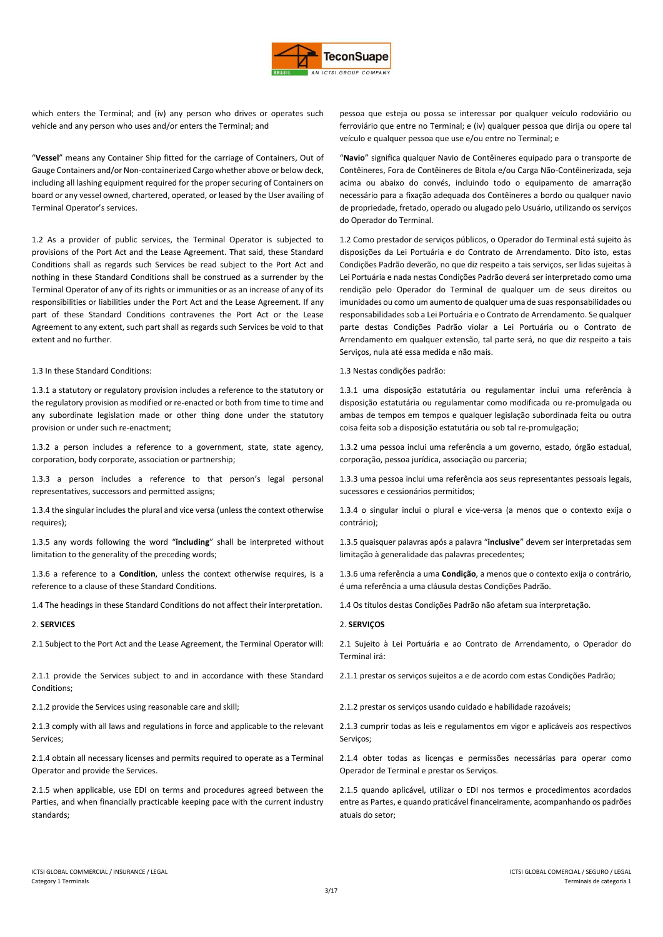

which enters the Terminal; and (iv) any person who drives or operates such vehicle and any person who uses and/or enters the Terminal; and

"**Vessel**" means any Container Ship fitted for the carriage of Containers, Out of Gauge Containers and/or Non-containerized Cargo whether above or below deck, including all lashing equipment required for the proper securing of Containers on board or any vessel owned, chartered, operated, or leased by the User availing of Terminal Operator's services.

1.2 As a provider of public services, the Terminal Operator is subjected to provisions of the Port Act and the Lease Agreement. That said, these Standard Conditions shall as regards such Services be read subject to the Port Act and nothing in these Standard Conditions shall be construed as a surrender by the Terminal Operator of any of its rights or immunities or as an increase of any of its responsibilities or liabilities under the Port Act and the Lease Agreement. If any part of these Standard Conditions contravenes the Port Act or the Lease Agreement to any extent, such part shall as regards such Services be void to that extent and no further.

## 1.3 In these Standard Conditions: 1.3 Nestas condições padrão:

1.3.1 a statutory or regulatory provision includes a reference to the statutory or the regulatory provision as modified or re-enacted or both from time to time and any subordinate legislation made or other thing done under the statutory provision or under such re-enactment;

1.3.2 a person includes a reference to a government, state, state agency, corporation, body corporate, association or partnership;

1.3.3 a person includes a reference to that person's legal personal representatives, successors and permitted assigns;

1.3.4 the singular includes the plural and vice versa (unless the context otherwise requires);

1.3.5 any words following the word "**including**" shall be interpreted without limitation to the generality of the preceding words;

1.3.6 a reference to a **Condition**, unless the context otherwise requires, is a reference to a clause of these Standard Conditions.

1.4 The headings in these Standard Conditions do not affect their interpretation. 1.4 Os títulos destas Condições Padrão não afetam sua interpretação.

## 2. **SERVICES** 2. **SERVIÇOS**

2.1 Subject to the Port Act and the Lease Agreement, the Terminal Operator will: 2.1 Sujeito à Lei Portuária e ao Contrato de Arrendamento, o Operador do

2.1.1 provide the Services subject to and in accordance with these Standard Conditions;

2.1.3 comply with all laws and regulations in force and applicable to the relevant Services;

2.1.4 obtain all necessary licenses and permits required to operate as a Terminal Operator and provide the Services.

2.1.5 when applicable, use EDI on terms and procedures agreed between the Parties, and when financially practicable keeping pace with the current industry standards;

pessoa que esteja ou possa se interessar por qualquer veículo rodoviário ou ferroviário que entre no Terminal; e (iv) qualquer pessoa que dirija ou opere tal veículo e qualquer pessoa que use e/ou entre no Terminal; e

"**Navio**" significa qualquer Navio de Contêineres equipado para o transporte de Contêineres, Fora de Contêineres de Bitola e/ou Carga Não-Contêinerizada, seja acima ou abaixo do convés, incluindo todo o equipamento de amarração necessário para a fixação adequada dos Contêineres a bordo ou qualquer navio de propriedade, fretado, operado ou alugado pelo Usuário, utilizando os serviços do Operador do Terminal.

1.2 Como prestador de serviços públicos, o Operador do Terminal está sujeito às disposições da Lei Portuária e do Contrato de Arrendamento. Dito isto, estas Condições Padrão deverão, no que diz respeito a tais serviços, ser lidas sujeitas à Lei Portuária e nada nestas Condições Padrão deverá ser interpretado como uma rendição pelo Operador do Terminal de qualquer um de seus direitos ou imunidades ou como um aumento de qualquer uma de suas responsabilidades ou responsabilidades sob a Lei Portuária e o Contrato de Arrendamento. Se qualquer parte destas Condições Padrão violar a Lei Portuária ou o Contrato de Arrendamento em qualquer extensão, tal parte será, no que diz respeito a tais Serviços, nula até essa medida e não mais.

1.3.1 uma disposição estatutária ou regulamentar inclui uma referência à disposição estatutária ou regulamentar como modificada ou re-promulgada ou ambas de tempos em tempos e qualquer legislação subordinada feita ou outra coisa feita sob a disposição estatutária ou sob tal re-promulgação;

1.3.2 uma pessoa inclui uma referência a um governo, estado, órgão estadual, corporação, pessoa jurídica, associação ou parceria;

1.3.3 uma pessoa inclui uma referência aos seus representantes pessoais legais, sucessores e cessionários permitidos;

1.3.4 o singular inclui o plural e vice-versa (a menos que o contexto exija o contrário);

1.3.5 quaisquer palavras após a palavra "**inclusive**" devem ser interpretadas sem limitação à generalidade das palavras precedentes;

1.3.6 uma referência a uma **Condição**, a menos que o contexto exija o contrário, é uma referência a uma cláusula destas Condições Padrão.

Terminal irá:

2.1.1 prestar os serviços sujeitos a e de acordo com estas Condições Padrão;

2.1.2 provide the Services using reasonable care and skill; 2.1.2 prestar os serviços usando cuidado e habilidade razoáveis;

2.1.3 cumprir todas as leis e regulamentos em vigor e aplicáveis aos respectivos Servicos:

2.1.4 obter todas as licenças e permissões necessárias para operar como Operador de Terminal e prestar os Serviços.

2.1.5 quando aplicável, utilizar o EDI nos termos e procedimentos acordados entre as Partes, e quando praticável financeiramente, acompanhando os padrões atuais do setor;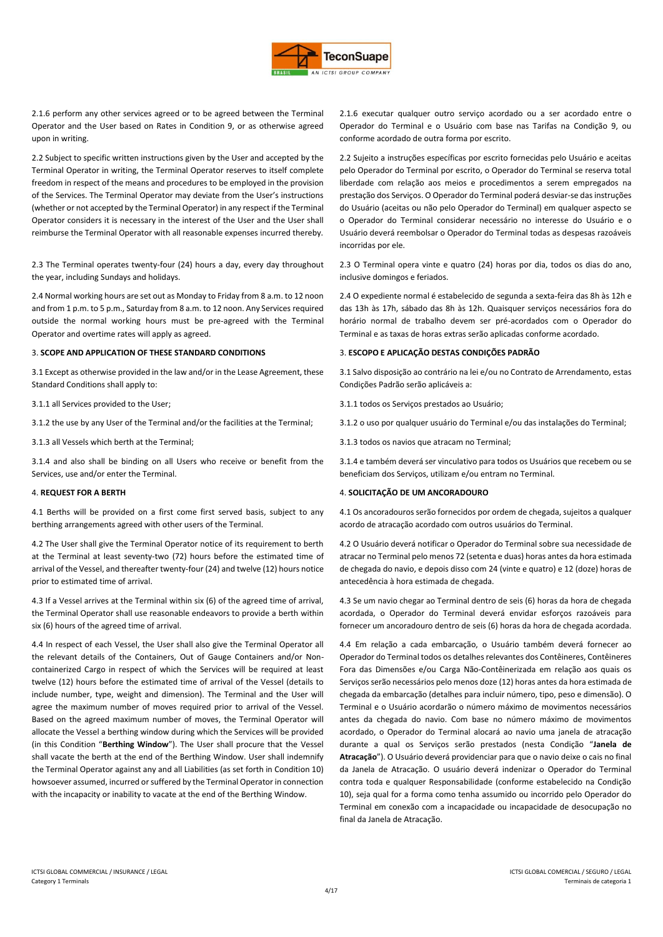

2.1.6 perform any other services agreed or to be agreed between the Terminal Operator and the User based on Rates in Condition 9, or as otherwise agreed upon in writing.

2.2 Subject to specific written instructions given by the User and accepted by the Terminal Operator in writing, the Terminal Operator reserves to itself complete freedom in respect of the means and procedures to be employed in the provision of the Services. The Terminal Operator may deviate from the User's instructions (whether or not accepted by the Terminal Operator) in any respect if the Terminal Operator considers it is necessary in the interest of the User and the User shall reimburse the Terminal Operator with all reasonable expenses incurred thereby.

2.3 The Terminal operates twenty-four (24) hours a day, every day throughout the year, including Sundays and holidays.

2.4 Normal working hours are set out as Monday to Friday from 8 a.m. to 12 noon and from 1 p.m. to 5 p.m., Saturday from 8 a.m. to 12 noon. Any Services required outside the normal working hours must be pre-agreed with the Terminal Operator and overtime rates will apply as agreed.

## 3. **SCOPE AND APPLICATION OF THESE STANDARD CONDITIONS** 3. **ESCOPO E APLICAÇÃO DESTAS CONDIÇÕES PADRÃO**

3.1 Except as otherwise provided in the law and/or in the Lease Agreement, these Standard Conditions shall apply to:

3.1.2 the use by any User of the Terminal and/or the facilities at the Terminal; 3.1.2 o uso por qualquer usuário do Terminal e/ou das instalações do Terminal;

3.1.3 all Vessels which berth at the Terminal; 3.1.3 todos os navios que atracam no Terminal;

3.1.4 and also shall be binding on all Users who receive or benefit from the Services, use and/or enter the Terminal.

4.1 Berths will be provided on a first come first served basis, subject to any berthing arrangements agreed with other users of the Terminal.

4.2 The User shall give the Terminal Operator notice of its requirement to berth at the Terminal at least seventy-two (72) hours before the estimated time of arrival of the Vessel, and thereafter twenty-four (24) and twelve (12) hours notice prior to estimated time of arrival.

4.3 If a Vessel arrives at the Terminal within six (6) of the agreed time of arrival, the Terminal Operator shall use reasonable endeavors to provide a berth within six (6) hours of the agreed time of arrival.

4.4 In respect of each Vessel, the User shall also give the Terminal Operator all the relevant details of the Containers, Out of Gauge Containers and/or Noncontainerized Cargo in respect of which the Services will be required at least twelve (12) hours before the estimated time of arrival of the Vessel (details to include number, type, weight and dimension). The Terminal and the User will agree the maximum number of moves required prior to arrival of the Vessel. Based on the agreed maximum number of moves, the Terminal Operator will allocate the Vessel a berthing window during which the Services will be provided (in this Condition "**Berthing Window**"). The User shall procure that the Vessel shall vacate the berth at the end of the Berthing Window. User shall indemnify the Terminal Operator against any and all Liabilities (as set forth in Condition 10) howsoever assumed, incurred or suffered by the Terminal Operator in connection with the incapacity or inability to vacate at the end of the Berthing Window.

2.1.6 executar qualquer outro serviço acordado ou a ser acordado entre o Operador do Terminal e o Usuário com base nas Tarifas na Condição 9, ou conforme acordado de outra forma por escrito.

2.2 Sujeito a instruções específicas por escrito fornecidas pelo Usuário e aceitas pelo Operador do Terminal por escrito, o Operador do Terminal se reserva total liberdade com relação aos meios e procedimentos a serem empregados na prestação dos Serviços. O Operador do Terminal poderá desviar-se das instruções do Usuário (aceitas ou não pelo Operador do Terminal) em qualquer aspecto se o Operador do Terminal considerar necessário no interesse do Usuário e o Usuário deverá reembolsar o Operador do Terminal todas as despesas razoáveis incorridas por ele.

2.3 O Terminal opera vinte e quatro (24) horas por dia, todos os dias do ano, inclusive domingos e feriados.

2.4 O expediente normal é estabelecido de segunda a sexta-feira das 8h às 12h e das 13h às 17h, sábado das 8h às 12h. Quaisquer serviços necessários fora do horário normal de trabalho devem ser pré-acordados com o Operador do Terminal e as taxas de horas extras serão aplicadas conforme acordado.

3.1 Salvo disposição ao contrário na lei e/ou no Contrato de Arrendamento, estas Condições Padrão serão aplicáveis a:

3.1.1 all Services provided to the User; 3.1.1 todos os Serviços prestados ao Usuário;

3.1.4 e também deverá ser vinculativo para todos os Usuários que recebem ou se beneficiam dos Serviços, utilizam e/ou entram no Terminal.

## 4. **REQUEST FOR A BERTH** 4. **SOLICITAÇÃO DE UM ANCORADOURO**

4.1 Os ancoradouros serão fornecidos por ordem de chegada, sujeitos a qualquer acordo de atracação acordado com outros usuários do Terminal.

4.2 O Usuário deverá notificar o Operador do Terminal sobre sua necessidade de atracar no Terminal pelo menos 72 (setenta e duas) horas antes da hora estimada de chegada do navio, e depois disso com 24 (vinte e quatro) e 12 (doze) horas de antecedência à hora estimada de chegada.

4.3 Se um navio chegar ao Terminal dentro de seis (6) horas da hora de chegada acordada, o Operador do Terminal deverá envidar esforços razoáveis para fornecer um ancoradouro dentro de seis (6) horas da hora de chegada acordada.

4.4 Em relação a cada embarcação, o Usuário também deverá fornecer ao Operador do Terminal todos os detalhes relevantes dos Contêineres, Contêineres Fora das Dimensões e/ou Carga Não-Contêinerizada em relação aos quais os Serviços serão necessários pelo menos doze (12) horas antes da hora estimada de chegada da embarcação (detalhes para incluir número, tipo, peso e dimensão). O Terminal e o Usuário acordarão o número máximo de movimentos necessários antes da chegada do navio. Com base no número máximo de movimentos acordado, o Operador do Terminal alocará ao navio uma janela de atracação durante a qual os Serviços serão prestados (nesta Condição "**Janela de Atracação**"). O Usuário deverá providenciar para que o navio deixe o cais no final da Janela de Atracação. O usuário deverá indenizar o Operador do Terminal contra toda e qualquer Responsabilidade (conforme estabelecido na Condição 10), seja qual for a forma como tenha assumido ou incorrido pelo Operador do Terminal em conexão com a incapacidade ou incapacidade de desocupação no final da Janela de Atracação.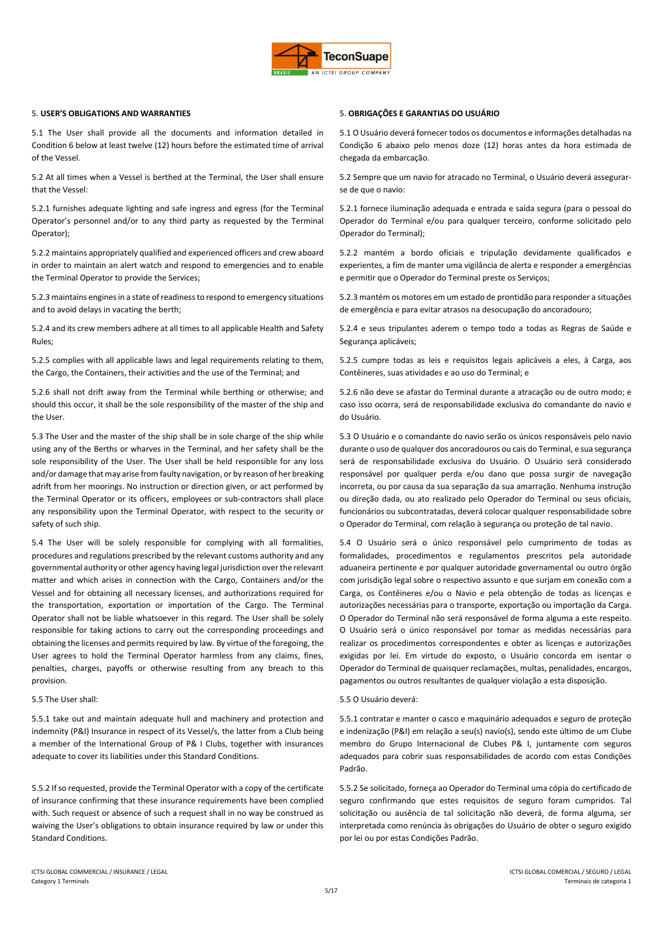

## 5. **USER'S OBLIGATIONS AND WARRANTIES** 5. **OBRIGAÇÕES E GARANTIAS DO USUÁRIO**

5.1 The User shall provide all the documents and information detailed in Condition 6 below at least twelve (12) hours before the estimated time of arrival of the Vessel.

5.2 At all times when a Vessel is berthed at the Terminal, the User shall ensure that the Vessel:

5.2.1 furnishes adequate lighting and safe ingress and egress (for the Terminal Operator's personnel and/or to any third party as requested by the Terminal Operator);

5.2.2 maintains appropriately qualified and experienced officers and crew aboard in order to maintain an alert watch and respond to emergencies and to enable the Terminal Operator to provide the Services;

5.2.3 maintains engines in a state of readiness to respond to emergency situations and to avoid delays in vacating the berth;

5.2.4 and its crew members adhere at all times to all applicable Health and Safety Rules;

5.2.5 complies with all applicable laws and legal requirements relating to them, the Cargo, the Containers, their activities and the use of the Terminal; and

5.2.6 shall not drift away from the Terminal while berthing or otherwise; and should this occur, it shall be the sole responsibility of the master of the ship and the Heer.

5.3 The User and the master of the ship shall be in sole charge of the ship while using any of the Berths or wharves in the Terminal, and her safety shall be the sole responsibility of the User. The User shall be held responsible for any loss and/or damage that may arise from faulty navigation, or by reason of her breaking adrift from her moorings. No instruction or direction given, or act performed by the Terminal Operator or its officers, employees or sub-contractors shall place any responsibility upon the Terminal Operator, with respect to the security or safety of such ship.

5.4 The User will be solely responsible for complying with all formalities, procedures and regulations prescribed by the relevant customs authority and any governmental authority or other agency having legal jurisdiction over the relevant matter and which arises in connection with the Cargo, Containers and/or the Vessel and for obtaining all necessary licenses, and authorizations required for the transportation, exportation or importation of the Cargo. The Terminal Operator shall not be liable whatsoever in this regard. The User shall be solely responsible for taking actions to carry out the corresponding proceedings and obtaining the licenses and permits required by law. By virtue of the foregoing, the User agrees to hold the Terminal Operator harmless from any claims, fines, penalties, charges, payoffs or otherwise resulting from any breach to this provision.

5.5.1 take out and maintain adequate hull and machinery and protection and indemnity (P&I) Insurance in respect of its Vessel/s, the latter from a Club being a member of the International Group of P& I Clubs, together with insurances adequate to cover its liabilities under this Standard Conditions.

5.5.2 If so requested, provide the Terminal Operator with a copy of the certificate of insurance confirming that these insurance requirements have been complied with. Such request or absence of such a request shall in no way be construed as waiving the User's obligations to obtain insurance required by law or under this Standard Conditions.

5.1 O Usuário deverá fornecer todos os documentos e informações detalhadas na Condição 6 abaixo pelo menos doze (12) horas antes da hora estimada de chegada da embarcação.

5.2 Sempre que um navio for atracado no Terminal, o Usuário deverá assegurarse de que o navio:

5.2.1 fornece iluminação adequada e entrada e saída segura (para o pessoal do Operador do Terminal e/ou para qualquer terceiro, conforme solicitado pelo Operador do Terminal);

5.2.2 mantém a bordo oficiais e tripulação devidamente qualificados e experientes, a fim de manter uma vigilância de alerta e responder a emergências e permitir que o Operador do Terminal preste os Serviços;

5.2.3 mantém os motores em um estado de prontidão para responder a situações de emergência e para evitar atrasos na desocupação do ancoradouro;

5.2.4 e seus tripulantes aderem o tempo todo a todas as Regras de Saúde e Segurança aplicáveis;

5.2.5 cumpre todas as leis e requisitos legais aplicáveis a eles, à Carga, aos Contêineres, suas atividades e ao uso do Terminal; e

5.2.6 não deve se afastar do Terminal durante a atracação ou de outro modo; e caso isso ocorra, será de responsabilidade exclusiva do comandante do navio e do Usuário.

5.3 O Usuário e o comandante do navio serão os únicos responsáveis pelo navio durante o uso de qualquer dos ancoradouros ou cais do Terminal, e sua segurança será de responsabilidade exclusiva do Usuário. O Usuário será considerado responsável por qualquer perda e/ou dano que possa surgir de navegação incorreta, ou por causa da sua separação da sua amarração. Nenhuma instrução ou direção dada, ou ato realizado pelo Operador do Terminal ou seus oficiais, funcionários ou subcontratadas, deverá colocar qualquer responsabilidade sobre o Operador do Terminal, com relação à segurança ou proteção de tal navio.

5.4 O Usuário será o único responsável pelo cumprimento de todas as formalidades, procedimentos e regulamentos prescritos pela autoridade aduaneira pertinente e por qualquer autoridade governamental ou outro órgão com jurisdição legal sobre o respectivo assunto e que surjam em conexão com a Carga, os Contêineres e/ou o Navio e pela obtenção de todas as licenças e autorizações necessárias para o transporte, exportação ou importação da Carga. O Operador do Terminal não será responsável de forma alguma a este respeito. O Usuário será o único responsável por tomar as medidas necessárias para realizar os procedimentos correspondentes e obter as licenças e autorizações exigidas por lei. Em virtude do exposto, o Usuário concorda em isentar o Operador do Terminal de quaisquer reclamações, multas, penalidades, encargos, pagamentos ou outros resultantes de qualquer violação a esta disposição.

# 5.5 The User shall: 5.5 O Usuário deverá:

5.5.1 contratar e manter o casco e maquinário adequados e seguro de proteção e indenização (P&I) em relação a seu(s) navio(s), sendo este último de um Clube membro do Grupo Internacional de Clubes P& I, juntamente com seguros adequados para cobrir suas responsabilidades de acordo com estas Condições Padrão.

5.5.2 Se solicitado, forneça ao Operador do Terminal uma cópia do certificado de seguro confirmando que estes requisitos de seguro foram cumpridos. Tal solicitação ou ausência de tal solicitação não deverá, de forma alguma, ser interpretada como renúncia às obrigações do Usuário de obter o seguro exigido por lei ou por estas Condições Padrão.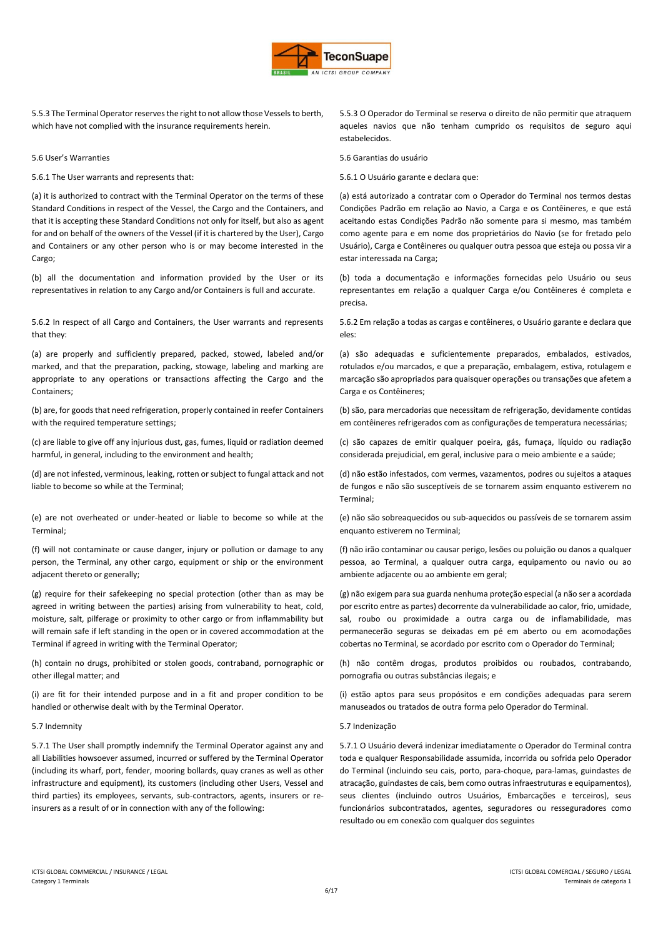

5.5.3 The Terminal Operator reserves the right to not allow those Vessels to berth, which have not complied with the insurance requirements herein.

5.6.1 The User warrants and represents that: 5.6.1 O Usuário garante e declara que:

(a) it is authorized to contract with the Terminal Operator on the terms of these Standard Conditions in respect of the Vessel, the Cargo and the Containers, and that it is accepting these Standard Conditions not only for itself, but also as agent for and on behalf of the owners of the Vessel (if it is chartered by the User), Cargo and Containers or any other person who is or may become interested in the Cargo;

(b) all the documentation and information provided by the User or its representatives in relation to any Cargo and/or Containers is full and accurate.

5.6.2 In respect of all Cargo and Containers, the User warrants and represents that they:

(a) are properly and sufficiently prepared, packed, stowed, labeled and/or marked, and that the preparation, packing, stowage, labeling and marking are appropriate to any operations or transactions affecting the Cargo and the Containers;

(b) are, for goods that need refrigeration, properly contained in reefer Containers with the required temperature settings;

(c) are liable to give off any injurious dust, gas, fumes, liquid or radiation deemed harmful, in general, including to the environment and health;

(d) are not infested, verminous, leaking, rotten or subject to fungal attack and not liable to become so while at the Terminal;

(e) are not overheated or under-heated or liable to become so while at the Terminal;

(f) will not contaminate or cause danger, injury or pollution or damage to any person, the Terminal, any other cargo, equipment or ship or the environment adjacent thereto or generally;

(g) require for their safekeeping no special protection (other than as may be agreed in writing between the parties) arising from vulnerability to heat, cold, moisture, salt, pilferage or proximity to other cargo or from inflammability but will remain safe if left standing in the open or in covered accommodation at the Terminal if agreed in writing with the Terminal Operator;

(h) contain no drugs, prohibited or stolen goods, contraband, pornographic or other illegal matter; and

(i) are fit for their intended purpose and in a fit and proper condition to be handled or otherwise dealt with by the Terminal Operator.

5.7.1 The User shall promptly indemnify the Terminal Operator against any and all Liabilities howsoever assumed, incurred or suffered by the Terminal Operator (including its wharf, port, fender, mooring bollards, quay cranes as well as other infrastructure and equipment), its customers (including other Users, Vessel and third parties) its employees, servants, sub-contractors, agents, insurers or reinsurers as a result of or in connection with any of the following:

5.5.3 O Operador do Terminal se reserva o direito de não permitir que atraquem aqueles navios que não tenham cumprido os requisitos de seguro aqui estabelecidos.

5.6 User's Warranties 5.6 Garantias do usuário

(a) está autorizado a contratar com o Operador do Terminal nos termos destas Condições Padrão em relação ao Navio, a Carga e os Contêineres, e que está aceitando estas Condições Padrão não somente para si mesmo, mas também como agente para e em nome dos proprietários do Navio (se for fretado pelo Usuário), Carga e Contêineres ou qualquer outra pessoa que esteja ou possa vir a estar interessada na Carga;

(b) toda a documentação e informações fornecidas pelo Usuário ou seus representantes em relação a qualquer Carga e/ou Contêineres é completa e precisa.

5.6.2 Em relação a todas as cargas e contêineres, o Usuário garante e declara que eles:

(a) são adequadas e suficientemente preparados, embalados, estivados, rotulados e/ou marcados, e que a preparação, embalagem, estiva, rotulagem e marcação são apropriados para quaisquer operações ou transações que afetem a Carga e os Contêineres;

(b) são, para mercadorias que necessitam de refrigeração, devidamente contidas em contêineres refrigerados com as configurações de temperatura necessárias;

(c) são capazes de emitir qualquer poeira, gás, fumaça, líquido ou radiação considerada prejudicial, em geral, inclusive para o meio ambiente e a saúde;

(d) não estão infestados, com vermes, vazamentos, podres ou sujeitos a ataques de fungos e não são susceptíveis de se tornarem assim enquanto estiverem no Terminal;

(e) não são sobreaquecidos ou sub-aquecidos ou passíveis de se tornarem assim enquanto estiverem no Terminal;

(f) não irão contaminar ou causar perigo, lesões ou poluição ou danos a qualquer pessoa, ao Terminal, a qualquer outra carga, equipamento ou navio ou ao ambiente adjacente ou ao ambiente em geral;

(g) não exigem para sua guarda nenhuma proteção especial (a não ser a acordada por escrito entre as partes) decorrente da vulnerabilidade ao calor, frio, umidade, sal, roubo ou proximidade a outra carga ou de inflamabilidade, mas permanecerão seguras se deixadas em pé em aberto ou em acomodações cobertas no Terminal, se acordado por escrito com o Operador do Terminal;

(h) não contêm drogas, produtos proibidos ou roubados, contrabando, pornografia ou outras substâncias ilegais; e

(i) estão aptos para seus propósitos e em condições adequadas para serem manuseados ou tratados de outra forma pelo Operador do Terminal.

## 5.7 Indemnity 5.7 Indenização

5.7.1 O Usuário deverá indenizar imediatamente o Operador do Terminal contra toda e qualquer Responsabilidade assumida, incorrida ou sofrida pelo Operador do Terminal (incluindo seu cais, porto, para-choque, para-lamas, guindastes de atracação, guindastes de cais, bem como outras infraestruturas e equipamentos), seus clientes (incluindo outros Usuários, Embarcações e terceiros), seus funcionários subcontratados, agentes, seguradores ou resseguradores como resultado ou em conexão com qualquer dos seguintes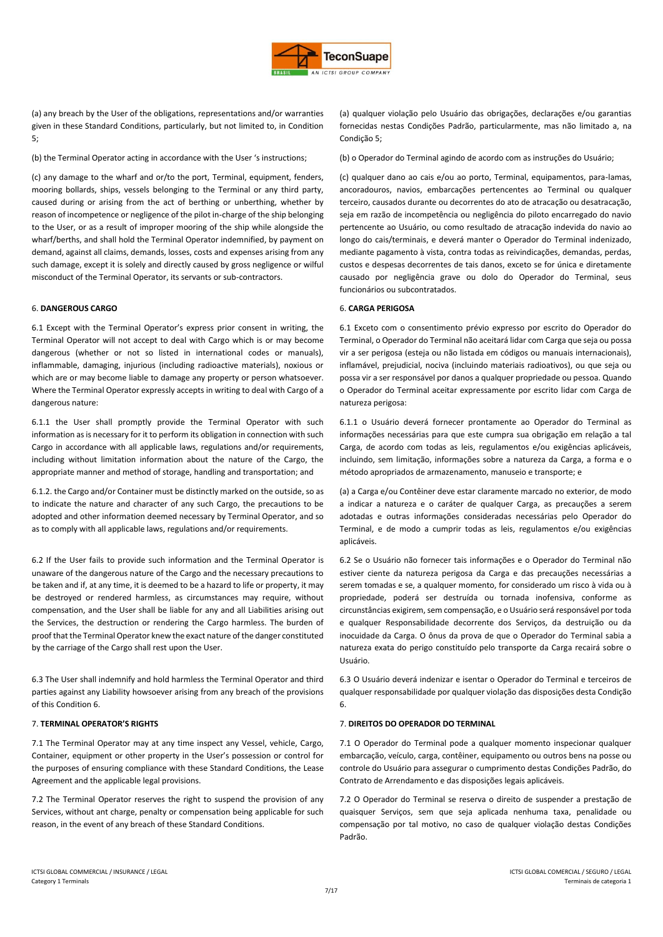

(a) any breach by the User of the obligations, representations and/or warranties given in these Standard Conditions, particularly, but not limited to, in Condition 5;

(c) any damage to the wharf and or/to the port, Terminal, equipment, fenders, mooring bollards, ships, vessels belonging to the Terminal or any third party, caused during or arising from the act of berthing or unberthing, whether by reason of incompetence or negligence of the pilot in-charge of the ship belonging to the User, or as a result of improper mooring of the ship while alongside the wharf/berths, and shall hold the Terminal Operator indemnified, by payment on demand, against all claims, demands, losses, costs and expenses arising from any such damage, except it is solely and directly caused by gross negligence or wilful misconduct of the Terminal Operator, its servants or sub-contractors.

## 6. **DANGEROUS CARGO** 6. **CARGA PERIGOSA**

6.1 Except with the Terminal Operator's express prior consent in writing, the Terminal Operator will not accept to deal with Cargo which is or may become dangerous (whether or not so listed in international codes or manuals), inflammable, damaging, injurious (including radioactive materials), noxious or which are or may become liable to damage any property or person whatsoever. Where the Terminal Operator expressly accepts in writing to deal with Cargo of a dangerous nature:

6.1.1 the User shall promptly provide the Terminal Operator with such information as is necessary for it to perform its obligation in connection with such Cargo in accordance with all applicable laws, regulations and/or requirements, including without limitation information about the nature of the Cargo, the appropriate manner and method of storage, handling and transportation; and

6.1.2. the Cargo and/or Container must be distinctly marked on the outside, so as to indicate the nature and character of any such Cargo, the precautions to be adopted and other information deemed necessary by Terminal Operator, and so as to comply with all applicable laws, regulations and/or requirements.

6.2 If the User fails to provide such information and the Terminal Operator is unaware of the dangerous nature of the Cargo and the necessary precautions to be taken and if, at any time, it is deemed to be a hazard to life or property, it may be destroyed or rendered harmless, as circumstances may require, without compensation, and the User shall be liable for any and all Liabilities arising out the Services, the destruction or rendering the Cargo harmless. The burden of proof that the Terminal Operator knew the exact nature of the danger constituted by the carriage of the Cargo shall rest upon the User.

6.3 The User shall indemnify and hold harmless the Terminal Operator and third parties against any Liability howsoever arising from any breach of the provisions of this Condition 6.

7.1 The Terminal Operator may at any time inspect any Vessel, vehicle, Cargo, Container, equipment or other property in the User's possession or control for the purposes of ensuring compliance with these Standard Conditions, the Lease Agreement and the applicable legal provisions.

7.2 The Terminal Operator reserves the right to suspend the provision of any Services, without ant charge, penalty or compensation being applicable for such reason, in the event of any breach of these Standard Conditions.

(a) qualquer violação pelo Usuário das obrigações, declarações e/ou garantias fornecidas nestas Condições Padrão, particularmente, mas não limitado a, na Condição 5;

(b) the Terminal Operator acting in accordance with the User 's instructions; (b) o Operador do Terminal agindo de acordo com as instruções do Usuário;

(c) qualquer dano ao cais e/ou ao porto, Terminal, equipamentos, para-lamas, ancoradouros, navios, embarcações pertencentes ao Terminal ou qualquer terceiro, causados durante ou decorrentes do ato de atracação ou desatracação, seja em razão de incompetência ou negligência do piloto encarregado do navio pertencente ao Usuário, ou como resultado de atracação indevida do navio ao longo do cais/terminais, e deverá manter o Operador do Terminal indenizado, mediante pagamento à vista, contra todas as reivindicações, demandas, perdas, custos e despesas decorrentes de tais danos, exceto se for única e diretamente causado por negligência grave ou dolo do Operador do Terminal, seus funcionários ou subcontratados.

6.1 Exceto com o consentimento prévio expresso por escrito do Operador do Terminal, o Operador do Terminal não aceitará lidar com Carga que seja ou possa vir a ser perigosa (esteja ou não listada em códigos ou manuais internacionais), inflamável, prejudicial, nociva (incluindo materiais radioativos), ou que seja ou possa vir a ser responsável por danos a qualquer propriedade ou pessoa. Quando o Operador do Terminal aceitar expressamente por escrito lidar com Carga de natureza perigosa:

6.1.1 o Usuário deverá fornecer prontamente ao Operador do Terminal as informações necessárias para que este cumpra sua obrigação em relação a tal Carga, de acordo com todas as leis, regulamentos e/ou exigências aplicáveis, incluindo, sem limitação, informações sobre a natureza da Carga, a forma e o método apropriados de armazenamento, manuseio e transporte; e

(a) a Carga e/ou Contêiner deve estar claramente marcado no exterior, de modo a indicar a natureza e o caráter de qualquer Carga, as precauções a serem adotadas e outras informações consideradas necessárias pelo Operador do Terminal, e de modo a cumprir todas as leis, regulamentos e/ou exigências aplicáveis.

6.2 Se o Usuário não fornecer tais informações e o Operador do Terminal não estiver ciente da natureza perigosa da Carga e das precauções necessárias a serem tomadas e se, a qualquer momento, for considerado um risco à vida ou à propriedade, poderá ser destruída ou tornada inofensiva, conforme as circunstâncias exigirem, sem compensação, e o Usuário será responsável por toda e qualquer Responsabilidade decorrente dos Serviços, da destruição ou da inocuidade da Carga. O ônus da prova de que o Operador do Terminal sabia a natureza exata do perigo constituído pelo transporte da Carga recairá sobre o Usuário.

6.3 O Usuário deverá indenizar e isentar o Operador do Terminal e terceiros de qualquer responsabilidade por qualquer violação das disposições desta Condição 6.

## 7. **TERMINAL OPERATOR'S RIGHTS** 7. **DIREITOS DO OPERADOR DO TERMINAL**

7.1 O Operador do Terminal pode a qualquer momento inspecionar qualquer embarcação, veículo, carga, contêiner, equipamento ou outros bens na posse ou controle do Usuário para assegurar o cumprimento destas Condições Padrão, do Contrato de Arrendamento e das disposições legais aplicáveis.

7.2 O Operador do Terminal se reserva o direito de suspender a prestação de quaisquer Serviços, sem que seja aplicada nenhuma taxa, penalidade ou compensação por tal motivo, no caso de qualquer violação destas Condições Padrão.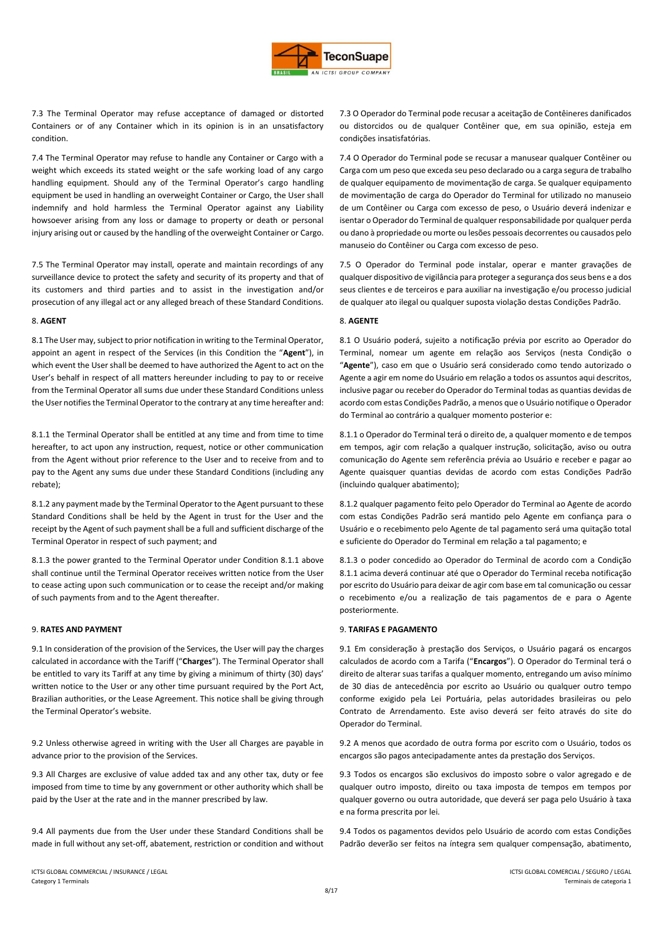

7.3 The Terminal Operator may refuse acceptance of damaged or distorted Containers or of any Container which in its opinion is in an unsatisfactory condition.

7.4 The Terminal Operator may refuse to handle any Container or Cargo with a weight which exceeds its stated weight or the safe working load of any cargo handling equipment. Should any of the Terminal Operator's cargo handling equipment be used in handling an overweight Container or Cargo, the User shall indemnify and hold harmless the Terminal Operator against any Liability howsoever arising from any loss or damage to property or death or personal injury arising out or caused by the handling of the overweight Container or Cargo.

7.5 The Terminal Operator may install, operate and maintain recordings of any surveillance device to protect the safety and security of its property and that of its customers and third parties and to assist in the investigation and/or prosecution of any illegal act or any alleged breach of these Standard Conditions.

8.1 The User may, subject to prior notification in writing to the Terminal Operator, appoint an agent in respect of the Services (in this Condition the "**Agent**"), in which event the User shall be deemed to have authorized the Agent to act on the User's behalf in respect of all matters hereunder including to pay to or receive from the Terminal Operator all sums due under these Standard Conditions unless the User notifies the Terminal Operator to the contrary at any time hereafter and:

8.1.1 the Terminal Operator shall be entitled at any time and from time to time hereafter, to act upon any instruction, request, notice or other communication from the Agent without prior reference to the User and to receive from and to pay to the Agent any sums due under these Standard Conditions (including any rebate);

8.1.2 any payment made by the Terminal Operator to the Agent pursuant to these Standard Conditions shall be held by the Agent in trust for the User and the receipt by the Agent of such payment shall be a full and sufficient discharge of the Terminal Operator in respect of such payment; and

8.1.3 the power granted to the Terminal Operator under Condition 8.1.1 above shall continue until the Terminal Operator receives written notice from the User to cease acting upon such communication or to cease the receipt and/or making of such payments from and to the Agent thereafter.

9.1 In consideration of the provision of the Services, the User will pay the charges calculated in accordance with the Tariff ("**Charges**"). The Terminal Operator shall be entitled to vary its Tariff at any time by giving a minimum of thirty (30) days' written notice to the User or any other time pursuant required by the Port Act, Brazilian authorities, or the Lease Agreement. This notice shall be giving through the Terminal Operator's website.

9.2 Unless otherwise agreed in writing with the User all Charges are payable in advance prior to the provision of the Services.

9.3 All Charges are exclusive of value added tax and any other tax, duty or fee imposed from time to time by any government or other authority which shall be paid by the User at the rate and in the manner prescribed by law.

9.4 All payments due from the User under these Standard Conditions shall be made in full without any set-off, abatement, restriction or condition and without

7.3 O Operador do Terminal pode recusar a aceitação de Contêineres danificados ou distorcidos ou de qualquer Contêiner que, em sua opinião, esteja em condições insatisfatórias.

7.4 O Operador do Terminal pode se recusar a manusear qualquer Contêiner ou Carga com um peso que exceda seu peso declarado ou a carga segura de trabalho de qualquer equipamento de movimentação de carga. Se qualquer equipamento de movimentação de carga do Operador do Terminal for utilizado no manuseio de um Contêiner ou Carga com excesso de peso, o Usuário deverá indenizar e isentar o Operador do Terminal de qualquer responsabilidade por qualquer perda ou dano à propriedade ou morte ou lesões pessoais decorrentes ou causados pelo manuseio do Contêiner ou Carga com excesso de peso.

7.5 O Operador do Terminal pode instalar, operar e manter gravações de qualquer dispositivo de vigilância para proteger a segurança dos seus bens e a dos seus clientes e de terceiros e para auxiliar na investigação e/ou processo judicial de qualquer ato ilegal ou qualquer suposta violação destas Condições Padrão.

## 8. **AGENT** 8. **AGENTE**

8.1 O Usuário poderá, sujeito a notificação prévia por escrito ao Operador do Terminal, nomear um agente em relação aos Serviços (nesta Condição o "**Agente**"), caso em que o Usuário será considerado como tendo autorizado o Agente a agir em nome do Usuário em relação a todos os assuntos aqui descritos, inclusive pagar ou receber do Operador do Terminal todas as quantias devidas de acordo com estas Condições Padrão, a menos que o Usuário notifique o Operador do Terminal ao contrário a qualquer momento posterior e:

8.1.1 o Operador do Terminal terá o direito de, a qualquer momento e de tempos em tempos, agir com relação a qualquer instrução, solicitação, aviso ou outra comunicação do Agente sem referência prévia ao Usuário e receber e pagar ao Agente quaisquer quantias devidas de acordo com estas Condições Padrão (incluindo qualquer abatimento);

8.1.2 qualquer pagamento feito pelo Operador do Terminal ao Agente de acordo com estas Condições Padrão será mantido pelo Agente em confiança para o Usuário e o recebimento pelo Agente de tal pagamento será uma quitação total e suficiente do Operador do Terminal em relação a tal pagamento; e

8.1.3 o poder concedido ao Operador do Terminal de acordo com a Condição 8.1.1 acima deverá continuar até que o Operador do Terminal receba notificação por escrito do Usuário para deixar de agir com base em tal comunicação ou cessar o recebimento e/ou a realização de tais pagamentos de e para o Agente posteriormente.

# 9. **RATES AND PAYMENT** 9. **TARIFAS E PAGAMENTO**

9.1 Em consideração à prestação dos Serviços, o Usuário pagará os encargos calculados de acordo com a Tarifa ("**Encargos**"). O Operador do Terminal terá o direito de alterar suas tarifas a qualquer momento, entregando um aviso mínimo de 30 dias de antecedência por escrito ao Usuário ou qualquer outro tempo conforme exigido pela Lei Portuária, pelas autoridades brasileiras ou pelo Contrato de Arrendamento. Este aviso deverá ser feito através do site do Operador do Terminal.

9.2 A menos que acordado de outra forma por escrito com o Usuário, todos os encargos são pagos antecipadamente antes da prestação dos Serviços.

9.3 Todos os encargos são exclusivos do imposto sobre o valor agregado e de qualquer outro imposto, direito ou taxa imposta de tempos em tempos por qualquer governo ou outra autoridade, que deverá ser paga pelo Usuário à taxa e na forma prescrita por lei.

9.4 Todos os pagamentos devidos pelo Usuário de acordo com estas Condições Padrão deverão ser feitos na íntegra sem qualquer compensação, abatimento,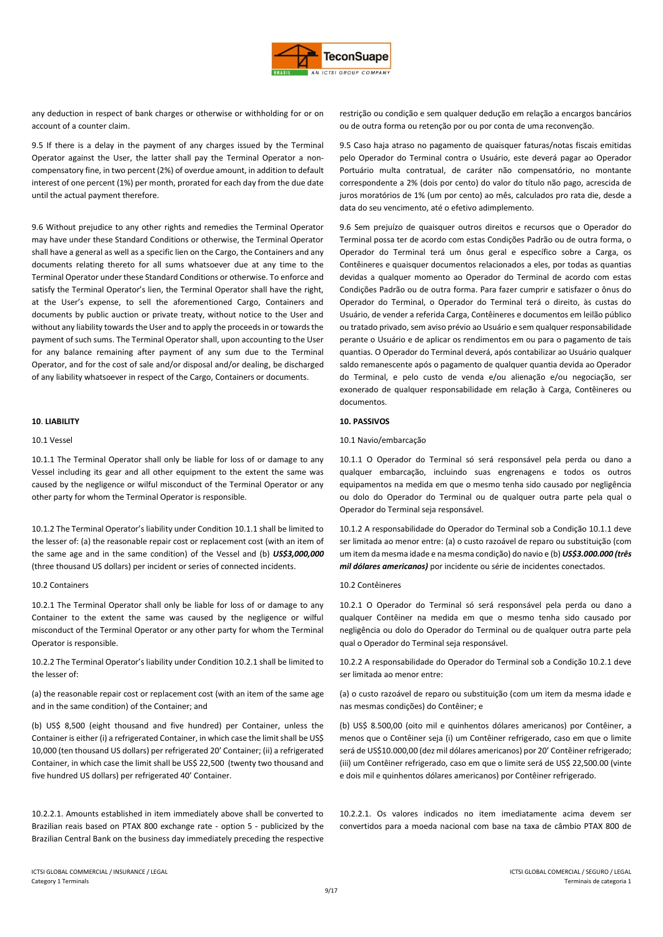

any deduction in respect of bank charges or otherwise or withholding for or on account of a counter claim.

9.5 If there is a delay in the payment of any charges issued by the Terminal Operator against the User, the latter shall pay the Terminal Operator a noncompensatory fine, in two percent (2%) of overdue amount, in addition to default interest of one percent (1%) per month, prorated for each day from the due date until the actual payment therefore.

9.6 Without prejudice to any other rights and remedies the Terminal Operator may have under these Standard Conditions or otherwise, the Terminal Operator shall have a general as well as a specific lien on the Cargo, the Containers and any documents relating thereto for all sums whatsoever due at any time to the Terminal Operator under these Standard Conditions or otherwise. To enforce and satisfy the Terminal Operator's lien, the Terminal Operator shall have the right, at the User's expense, to sell the aforementioned Cargo, Containers and documents by public auction or private treaty, without notice to the User and without any liability towards the User and to apply the proceeds in or towards the payment of such sums. The Terminal Operator shall, upon accounting to the User for any balance remaining after payment of any sum due to the Terminal Operator, and for the cost of sale and/or disposal and/or dealing, be discharged of any liability whatsoever in respect of the Cargo, Containers or documents.

10.1.1 The Terminal Operator shall only be liable for loss of or damage to any Vessel including its gear and all other equipment to the extent the same was caused by the negligence or wilful misconduct of the Terminal Operator or any other party for whom the Terminal Operator is responsible.

10.1.2 The Terminal Operator's liability under Condition 10.1.1 shall be limited to the lesser of: (a) the reasonable repair cost or replacement cost (with an item of the same age and in the same condition) of the Vessel and (b) *US\$3,000,000* (three thousand US dollars) per incident or series of connected incidents.

10.2.1 The Terminal Operator shall only be liable for loss of or damage to any Container to the extent the same was caused by the negligence or wilful misconduct of the Terminal Operator or any other party for whom the Terminal Operator is responsible.

10.2.2 The Terminal Operator's liability under Condition 10.2.1 shall be limited to the lesser of:

(a) the reasonable repair cost or replacement cost (with an item of the same age and in the same condition) of the Container; and

(b) US\$ 8,500 (eight thousand and five hundred) per Container, unless the Container is either (i) a refrigerated Container, in which case the limit shall be US\$ 10,000 (ten thousand US dollars) per refrigerated 20' Container; (ii) a refrigerated Container, in which case the limit shall be US\$ 22,500 (twenty two thousand and five hundred US dollars) per refrigerated 40' Container.

10.2.2.1. Amounts established in item immediately above shall be converted to Brazilian reais based on PTAX 800 exchange rate - option 5 - publicized by the Brazilian Central Bank on the business day immediately preceding the respective

restrição ou condição e sem qualquer dedução em relação a encargos bancários ou de outra forma ou retenção por ou por conta de uma reconvenção.

9.5 Caso haja atraso no pagamento de quaisquer faturas/notas fiscais emitidas pelo Operador do Terminal contra o Usuário, este deverá pagar ao Operador Portuário multa contratual, de caráter não compensatório, no montante correspondente a 2% (dois por cento) do valor do título não pago, acrescida de juros moratórios de 1% (um por cento) ao mês, calculados pro rata die, desde a data do seu vencimento, até o efetivo adimplemento.

9.6 Sem prejuízo de quaisquer outros direitos e recursos que o Operador do Terminal possa ter de acordo com estas Condições Padrão ou de outra forma, o Operador do Terminal terá um ônus geral e específico sobre a Carga, os Contêineres e quaisquer documentos relacionados a eles, por todas as quantias devidas a qualquer momento ao Operador do Terminal de acordo com estas Condições Padrão ou de outra forma. Para fazer cumprir e satisfazer o ônus do Operador do Terminal, o Operador do Terminal terá o direito, às custas do Usuário, de vender a referida Carga, Contêineres e documentos em leilão público ou tratado privado, sem aviso prévio ao Usuário e sem qualquer responsabilidade perante o Usuário e de aplicar os rendimentos em ou para o pagamento de tais quantias. O Operador do Terminal deverá, após contabilizar ao Usuário qualquer saldo remanescente após o pagamento de qualquer quantia devida ao Operador do Terminal, e pelo custo de venda e/ou alienação e/ou negociação, ser exonerado de qualquer responsabilidade em relação à Carga, Contêineres ou documentos.

## **10**. **LIABILITY 10. PASSIVOS**

## 10.1 Vessel 10.1 Navio/embarcação

10.1.1 O Operador do Terminal só será responsável pela perda ou dano a qualquer embarcação, incluindo suas engrenagens e todos os outros equipamentos na medida em que o mesmo tenha sido causado por negligência ou dolo do Operador do Terminal ou de qualquer outra parte pela qual o Operador do Terminal seja responsável.

10.1.2 A responsabilidade do Operador do Terminal sob a Condição 10.1.1 deve ser limitada ao menor entre: (a) o custo razoável de reparo ou substituição (com um item da mesma idade e na mesma condição) do navio e (b) *US\$3.000.000 (três mil dólares americanos)* por incidente ou série de incidentes conectados.

## 10.2 Containers 10.2 Contêineres

10.2.1 O Operador do Terminal só será responsável pela perda ou dano a qualquer Contêiner na medida em que o mesmo tenha sido causado por negligência ou dolo do Operador do Terminal ou de qualquer outra parte pela qual o Operador do Terminal seja responsável.

10.2.2 A responsabilidade do Operador do Terminal sob a Condição 10.2.1 deve ser limitada ao menor entre:

(a) o custo razoável de reparo ou substituição (com um item da mesma idade e nas mesmas condições) do Contêiner; e

(b) US\$ 8.500,00 (oito mil e quinhentos dólares americanos) por Contêiner, a menos que o Contêiner seja (i) um Contêiner refrigerado, caso em que o limite será de US\$10.000,00 (dez mil dólares americanos) por 20' Contêiner refrigerado; (iii) um Contêiner refrigerado, caso em que o limite será de US\$ 22,500.00 (vinte e dois mil e quinhentos dólares americanos) por Contêiner refrigerado.

10.2.2.1. Os valores indicados no item imediatamente acima devem ser convertidos para a moeda nacional com base na taxa de câmbio PTAX 800 de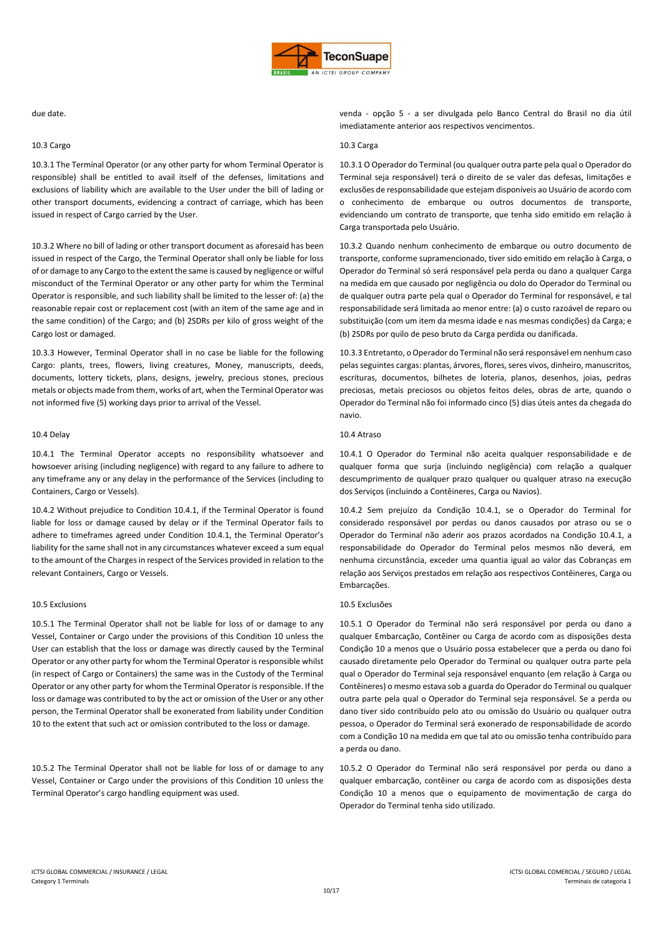

## 10.3 Cargo 10.3 Carga

10.3.1 The Terminal Operator (or any other party for whom Terminal Operator is responsible) shall be entitled to avail itself of the defenses, limitations and exclusions of liability which are available to the User under the bill of lading or other transport documents, evidencing a contract of carriage, which has been issued in respect of Cargo carried by the User.

10.3.2 Where no bill of lading or other transport document as aforesaid has been issued in respect of the Cargo, the Terminal Operator shall only be liable for loss of or damage to any Cargo to the extent the same is caused by negligence or wilful misconduct of the Terminal Operator or any other party for whim the Terminal Operator is responsible, and such liability shall be limited to the lesser of: (a) the reasonable repair cost or replacement cost (with an item of the same age and in the same condition) of the Cargo; and (b) 2SDRs per kilo of gross weight of the Cargo lost or damaged.

10.3.3 However, Terminal Operator shall in no case be liable for the following Cargo: plants, trees, flowers, living creatures, Money, manuscripts, deeds, documents, lottery tickets, plans, designs, jewelry, precious stones, precious metals or objects made from them, works of art, when the Terminal Operator was not informed five (5) working days prior to arrival of the Vessel.

10.4.1 The Terminal Operator accepts no responsibility whatsoever and howsoever arising (including negligence) with regard to any failure to adhere to any timeframe any or any delay in the performance of the Services (including to Containers, Cargo or Vessels).

10.4.2 Without prejudice to Condition 10.4.1, if the Terminal Operator is found liable for loss or damage caused by delay or if the Terminal Operator fails to adhere to timeframes agreed under Condition 10.4.1, the Terminal Operator's liability for the same shall not in any circumstances whatever exceed a sum equal to the amount of the Charges in respect of the Services provided in relation to the relevant Containers, Cargo or Vessels.

## 10.5 Exclusions 10.5 Exclusões

10.5.1 The Terminal Operator shall not be liable for loss of or damage to any Vessel, Container or Cargo under the provisions of this Condition 10 unless the User can establish that the loss or damage was directly caused by the Terminal Operator or any other party for whom the Terminal Operator is responsible whilst (in respect of Cargo or Containers) the same was in the Custody of the Terminal Operator or any other party for whom the Terminal Operator is responsible. If the loss or damage was contributed to by the act or omission of the User or any other person, the Terminal Operator shall be exonerated from liability under Condition 10 to the extent that such act or omission contributed to the loss or damage.

10.5.2 The Terminal Operator shall not be liable for loss of or damage to any Vessel, Container or Cargo under the provisions of this Condition 10 unless the Terminal Operator's cargo handling equipment was used.

due date. venda - opção 5 - a ser divulgada pelo Banco Central do Brasil no dia útil imediatamente anterior aos respectivos vencimentos.

10.3.1 O Operador do Terminal (ou qualquer outra parte pela qual o Operador do Terminal seja responsável) terá o direito de se valer das defesas, limitações e exclusões de responsabilidade que estejam disponíveis ao Usuário de acordo com o conhecimento de embarque ou outros documentos de transporte, evidenciando um contrato de transporte, que tenha sido emitido em relação à Carga transportada pelo Usuário.

10.3.2 Quando nenhum conhecimento de embarque ou outro documento de transporte, conforme supramencionado, tiver sido emitido em relação à Carga, o Operador do Terminal só será responsável pela perda ou dano a qualquer Carga na medida em que causado por negligência ou dolo do Operador do Terminal ou de qualquer outra parte pela qual o Operador do Terminal for responsável, e tal responsabilidade será limitada ao menor entre: (a) o custo razoável de reparo ou substituição (com um item da mesma idade e nas mesmas condições) da Carga; e (b) 2SDRs por quilo de peso bruto da Carga perdida ou danificada.

10.3.3 Entretanto, o Operador do Terminal não será responsável em nenhum caso pelas seguintes cargas: plantas, árvores, flores, seres vivos, dinheiro, manuscritos, escrituras, documentos, bilhetes de loteria, planos, desenhos, joias, pedras preciosas, metais preciosos ou objetos feitos deles, obras de arte, quando o Operador do Terminal não foi informado cinco (5) dias úteis antes da chegada do navio.

## 10.4 Delay 10.4 Atraso

10.4.1 O Operador do Terminal não aceita qualquer responsabilidade e de qualquer forma que surja (incluindo negligência) com relação a qualquer descumprimento de qualquer prazo qualquer ou qualquer atraso na execução dos Serviços (incluindo a Contêineres, Carga ou Navios).

10.4.2 Sem prejuízo da Condição 10.4.1, se o Operador do Terminal for considerado responsável por perdas ou danos causados por atraso ou se o Operador do Terminal não aderir aos prazos acordados na Condição 10.4.1, a responsabilidade do Operador do Terminal pelos mesmos não deverá, em nenhuma circunstância, exceder uma quantia igual ao valor das Cobranças em relação aos Serviços prestados em relação aos respectivos Contêineres, Carga ou Embarcações.

10.5.1 O Operador do Terminal não será responsável por perda ou dano a qualquer Embarcação, Contêiner ou Carga de acordo com as disposições desta Condição 10 a menos que o Usuário possa estabelecer que a perda ou dano foi causado diretamente pelo Operador do Terminal ou qualquer outra parte pela qual o Operador do Terminal seja responsável enquanto (em relação à Carga ou Contêineres) o mesmo estava sob a guarda do Operador do Terminal ou qualquer outra parte pela qual o Operador do Terminal seja responsável. Se a perda ou dano tiver sido contribuído pelo ato ou omissão do Usuário ou qualquer outra pessoa, o Operador do Terminal será exonerado de responsabilidade de acordo com a Condição 10 na medida em que tal ato ou omissão tenha contribuído para a perda ou dano.

10.5.2 O Operador do Terminal não será responsável por perda ou dano a qualquer embarcação, contêiner ou carga de acordo com as disposições desta Condição 10 a menos que o equipamento de movimentação de carga do Operador do Terminal tenha sido utilizado.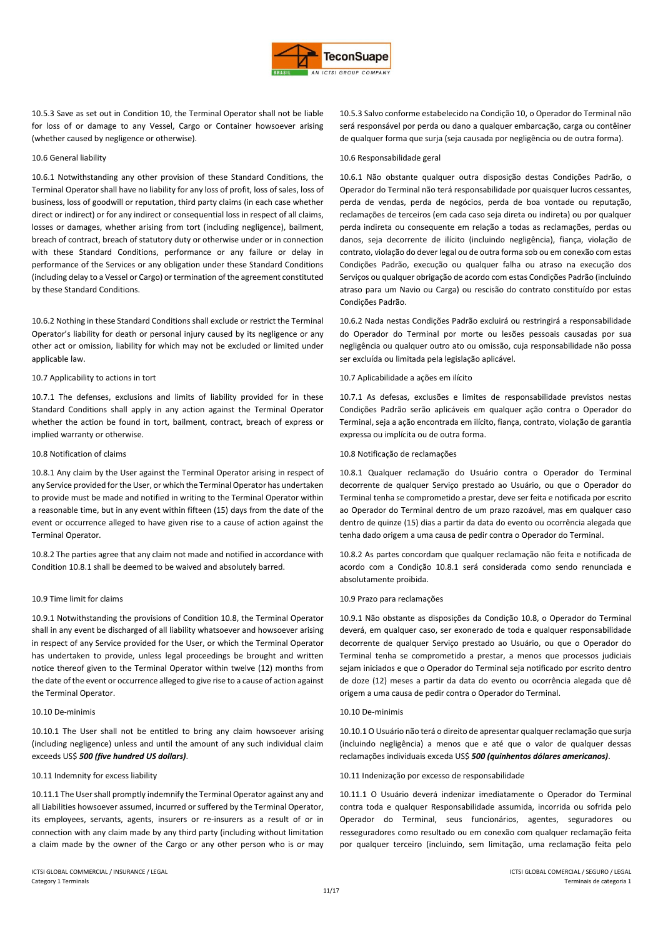

10.5.3 Save as set out in Condition 10, the Terminal Operator shall not be liable for loss of or damage to any Vessel, Cargo or Container howsoever arising (whether caused by negligence or otherwise).

10.6.1 Notwithstanding any other provision of these Standard Conditions, the Terminal Operator shall have no liability for any loss of profit, loss of sales, loss of business, loss of goodwill or reputation, third party claims (in each case whether direct or indirect) or for any indirect or consequential loss in respect of all claims, losses or damages, whether arising from tort (including negligence), bailment, breach of contract, breach of statutory duty or otherwise under or in connection with these Standard Conditions, performance or any failure or delay in performance of the Services or any obligation under these Standard Conditions (including delay to a Vessel or Cargo) or termination of the agreement constituted by these Standard Conditions.

10.6.2 Nothing in these Standard Conditions shall exclude or restrict the Terminal Operator's liability for death or personal injury caused by its negligence or any other act or omission, liability for which may not be excluded or limited under applicable law.

10.7.1 The defenses, exclusions and limits of liability provided for in these Standard Conditions shall apply in any action against the Terminal Operator whether the action be found in tort, bailment, contract, breach of express or implied warranty or otherwise.

10.8.1 Any claim by the User against the Terminal Operator arising in respect of any Service provided for the User, or which the Terminal Operator has undertaken to provide must be made and notified in writing to the Terminal Operator within a reasonable time, but in any event within fifteen (15) days from the date of the event or occurrence alleged to have given rise to a cause of action against the Terminal Operator.

10.8.2 The parties agree that any claim not made and notified in accordance with Condition 10.8.1 shall be deemed to be waived and absolutely barred.

10.9.1 Notwithstanding the provisions of Condition 10.8, the Terminal Operator shall in any event be discharged of all liability whatsoever and howsoever arising in respect of any Service provided for the User, or which the Terminal Operator has undertaken to provide, unless legal proceedings be brought and written notice thereof given to the Terminal Operator within twelve (12) months from the date of the event or occurrence alleged to give rise to a cause of action against the Terminal Operator.

10.10.1 The User shall not be entitled to bring any claim howsoever arising (including negligence) unless and until the amount of any such individual claim exceeds US\$ *500 (five hundred US dollars)*.

10.11.1 The User shall promptly indemnify the Terminal Operator against any and all Liabilities howsoever assumed, incurred or suffered by the Terminal Operator, its employees, servants, agents, insurers or re-insurers as a result of or in connection with any claim made by any third party (including without limitation a claim made by the owner of the Cargo or any other person who is or may

10.5.3 Salvo conforme estabelecido na Condição 10, o Operador do Terminal não será responsável por perda ou dano a qualquer embarcação, carga ou contêiner de qualquer forma que surja (seja causada por negligência ou de outra forma).

## 10.6 General liability 10.6 Responsabilidade geral

10.6.1 Não obstante qualquer outra disposição destas Condições Padrão, o Operador do Terminal não terá responsabilidade por quaisquer lucros cessantes, perda de vendas, perda de negócios, perda de boa vontade ou reputação, reclamações de terceiros (em cada caso seja direta ou indireta) ou por qualquer perda indireta ou consequente em relação a todas as reclamações, perdas ou danos, seja decorrente de ilícito (incluindo negligência), fiança, violação de contrato, violação do dever legal ou de outra forma sob ou em conexão com estas Condições Padrão, execução ou qualquer falha ou atraso na execução dos Serviços ou qualquer obrigação de acordo com estas Condições Padrão (incluindo atraso para um Navio ou Carga) ou rescisão do contrato constituído por estas Condições Padrão.

10.6.2 Nada nestas Condições Padrão excluirá ou restringirá a responsabilidade do Operador do Terminal por morte ou lesões pessoais causadas por sua negligência ou qualquer outro ato ou omissão, cuja responsabilidade não possa ser excluída ou limitada pela legislação aplicável.

## 10.7 Applicability to actions in tort 10.7 Aplicabilidade a ações em ilícito

10.7.1 As defesas, exclusões e limites de responsabilidade previstos nestas Condições Padrão serão aplicáveis em qualquer ação contra o Operador do Terminal, seja a ação encontrada em ilícito, fiança, contrato, violação de garantia expressa ou implícita ou de outra forma.

## 10.8 Notification of claims 10.8 Notificação de reclamações

10.8.1 Qualquer reclamação do Usuário contra o Operador do Terminal decorrente de qualquer Serviço prestado ao Usuário, ou que o Operador do Terminal tenha se comprometido a prestar, deve ser feita e notificada por escrito ao Operador do Terminal dentro de um prazo razoável, mas em qualquer caso dentro de quinze (15) dias a partir da data do evento ou ocorrência alegada que tenha dado origem a uma causa de pedir contra o Operador do Terminal.

10.8.2 As partes concordam que qualquer reclamação não feita e notificada de acordo com a Condição 10.8.1 será considerada como sendo renunciada e absolutamente proibida.

## 10.9 Time limit for claims 10.9 Prazo para reclamações

10.9.1 Não obstante as disposições da Condição 10.8, o Operador do Terminal deverá, em qualquer caso, ser exonerado de toda e qualquer responsabilidade decorrente de qualquer Serviço prestado ao Usuário, ou que o Operador do Terminal tenha se comprometido a prestar, a menos que processos judiciais sejam iniciados e que o Operador do Terminal seja notificado por escrito dentro de doze (12) meses a partir da data do evento ou ocorrência alegada que dê origem a uma causa de pedir contra o Operador do Terminal.

## 10.10 De-minimis 10.10 De-minimis

10.10.1 O Usuário não terá o direito de apresentar qualquer reclamação que surja (incluindo negligência) a menos que e até que o valor de qualquer dessas reclamações individuais exceda US\$ *500 (quinhentos dólares americanos)*.

## 10.11 Indemnity for excess liability 10.11 Indenização por excesso de responsabilidade

10.11.1 O Usuário deverá indenizar imediatamente o Operador do Terminal contra toda e qualquer Responsabilidade assumida, incorrida ou sofrida pelo Operador do Terminal, seus funcionários, agentes, seguradores ou resseguradores como resultado ou em conexão com qualquer reclamação feita por qualquer terceiro (incluindo, sem limitação, uma reclamação feita pelo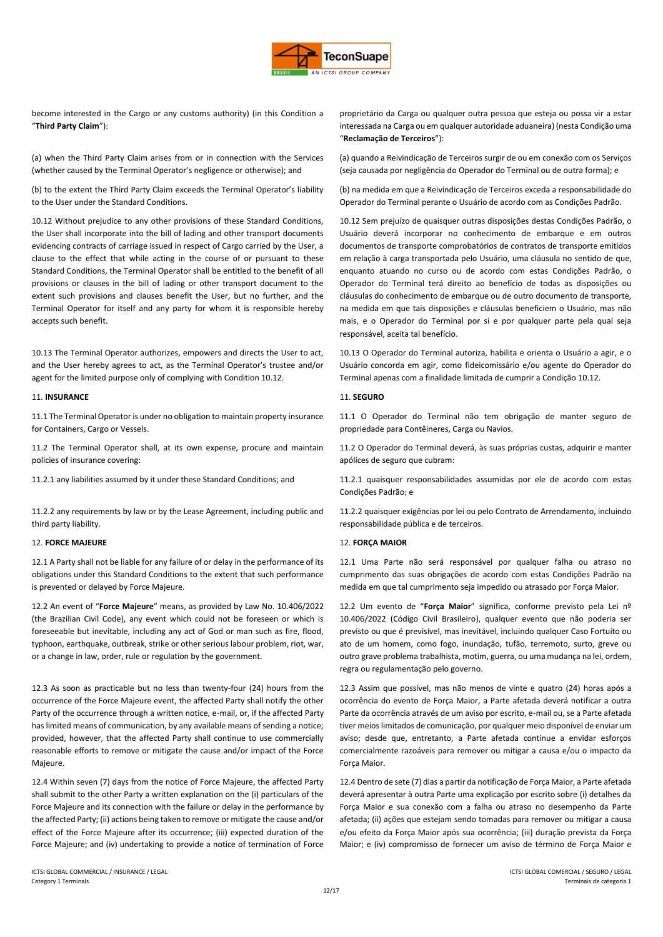

become interested in the Cargo or any customs authority) (in this Condition a "**Third Party Claim**"):

(a) when the Third Party Claim arises from or in connection with the Services (whether caused by the Terminal Operator's negligence or otherwise); and

(b) to the extent the Third Party Claim exceeds the Terminal Operator's liability to the User under the Standard Conditions.

10.12 Without prejudice to any other provisions of these Standard Conditions, the User shall incorporate into the bill of lading and other transport documents evidencing contracts of carriage issued in respect of Cargo carried by the User, a clause to the effect that while acting in the course of or pursuant to these Standard Conditions, the Terminal Operator shall be entitled to the benefit of all provisions or clauses in the bill of lading or other transport document to the extent such provisions and clauses benefit the User, but no further, and the Terminal Operator for itself and any party for whom it is responsible hereby accepts such benefit.

10.13 The Terminal Operator authorizes, empowers and directs the User to act, and the User hereby agrees to act, as the Terminal Operator's trustee and/or agent for the limited purpose only of complying with Condition 10.12.

## 11. **INSURANCE** 11. **SEGURO**

11.1 The Terminal Operator is under no obligation to maintain property insurance for Containers, Cargo or Vessels.

11.2 The Terminal Operator shall, at its own expense, procure and maintain policies of insurance covering:

11.2.2 any requirements by law or by the Lease Agreement, including public and third party liability.

## 12. **FORCE MAJEURE** 12. **FORÇA MAIOR**

12.1 A Party shall not be liable for any failure of or delay in the performance of its obligations under this Standard Conditions to the extent that such performance is prevented or delayed by Force Majeure.

12.2 An event of "**Force Majeure**" means, as provided by Law No. 10.406/2022 (the Brazilian Civil Code), any event which could not be foreseen or which is foreseeable but inevitable, including any act of God or man such as fire, flood, typhoon, earthquake, outbreak, strike or other serious labour problem, riot, war, or a change in law, order, rule or regulation by the government.

12.3 As soon as practicable but no less than twenty-four (24) hours from the occurrence of the Force Majeure event, the affected Party shall notify the other Party of the occurrence through a written notice, e-mail, or, if the affected Party has limited means of communication, by any available means of sending a notice; provided, however, that the affected Party shall continue to use commercially reasonable efforts to remove or mitigate the cause and/or impact of the Force Majeure.

12.4 Within seven (7) days from the notice of Force Majeure, the affected Party shall submit to the other Party a written explanation on the (i) particulars of the Force Majeure and its connection with the failure or delay in the performance by the affected Party; (ii) actions being taken to remove or mitigate the cause and/or effect of the Force Majeure after its occurrence; (iii) expected duration of the Force Majeure; and (iv) undertaking to provide a notice of termination of Force

proprietário da Carga ou qualquer outra pessoa que esteja ou possa vir a estar interessada na Carga ou em qualquer autoridade aduaneira) (nesta Condição uma "**Reclamação de Terceiros**"):

(a) quando a Reivindicação de Terceiros surgir de ou em conexão com os Serviços (seja causada por negligência do Operador do Terminal ou de outra forma); e

(b) na medida em que a Reivindicação de Terceiros exceda a responsabilidade do Operador do Terminal perante o Usuário de acordo com as Condições Padrão.

10.12 Sem prejuízo de quaisquer outras disposições destas Condições Padrão, o Usuário deverá incorporar no conhecimento de embarque e em outros documentos de transporte comprobatórios de contratos de transporte emitidos em relação à carga transportada pelo Usuário, uma cláusula no sentido de que, enquanto atuando no curso ou de acordo com estas Condições Padrão, o Operador do Terminal terá direito ao benefício de todas as disposições ou cláusulas do conhecimento de embarque ou de outro documento de transporte, na medida em que tais disposições e cláusulas beneficiem o Usuário, mas não mais, e o Operador do Terminal por si e por qualquer parte pela qual seja responsável, aceita tal benefício.

10.13 O Operador do Terminal autoriza, habilita e orienta o Usuário a agir, e o Usuário concorda em agir, como fideicomissário e/ou agente do Operador do Terminal apenas com a finalidade limitada de cumprir a Condição 10.12.

11.1 O Operador do Terminal não tem obrigação de manter seguro de propriedade para Contêineres, Carga ou Navios.

11.2 O Operador do Terminal deverá, às suas próprias custas, adquirir e manter apólices de seguro que cubram:

11.2.1 any liabilities assumed by it under these Standard Conditions; and 11.2.1 quaisquer responsabilidades assumidas por ele de acordo com estas Condições Padrão; e

> 11.2.2 quaisquer exigências por lei ou pelo Contrato de Arrendamento, incluindo responsabilidade pública e de terceiros.

12.1 Uma Parte não será responsável por qualquer falha ou atraso no cumprimento das suas obrigações de acordo com estas Condições Padrão na medida em que tal cumprimento seja impedido ou atrasado por Força Maior.

12.2 Um evento de "**Força Maior**" significa, conforme previsto pela Lei nº 10.406/2022 (Código Civil Brasileiro), qualquer evento que não poderia ser previsto ou que é previsível, mas inevitável, incluindo qualquer Caso Fortuito ou ato de um homem, como fogo, inundação, tufão, terremoto, surto, greve ou outro grave problema trabalhista, motim, guerra, ou uma mudança na lei, ordem, regra ou regulamentação pelo governo.

12.3 Assim que possível, mas não menos de vinte e quatro (24) horas após a ocorrência do evento de Força Maior, a Parte afetada deverá notificar a outra Parte da ocorrência através de um aviso por escrito, e-mail ou, se a Parte afetada tiver meios limitados de comunicação, por qualquer meio disponível de enviar um aviso; desde que, entretanto, a Parte afetada continue a envidar esforços comercialmente razoáveis para remover ou mitigar a causa e/ou o impacto da Força Maior.

12.4 Dentro de sete (7) dias a partir da notificação de Força Maior, a Parte afetada deverá apresentar à outra Parte uma explicação por escrito sobre (i) detalhes da Força Maior e sua conexão com a falha ou atraso no desempenho da Parte afetada; (ii) ações que estejam sendo tomadas para remover ou mitigar a causa e/ou efeito da Força Maior após sua ocorrência; (iii) duração prevista da Força Maior; e (iv) compromisso de fornecer um aviso de término de Força Maior e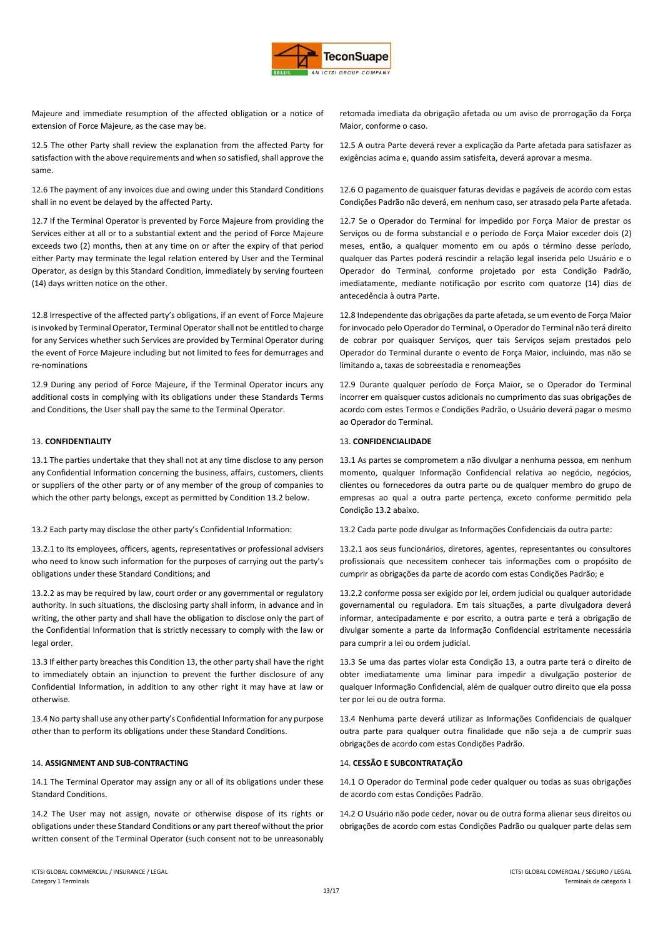

Majeure and immediate resumption of the affected obligation or a notice of extension of Force Majeure, as the case may be.

12.5 The other Party shall review the explanation from the affected Party for satisfaction with the above requirements and when so satisfied, shall approve the same.

12.6 The payment of any invoices due and owing under this Standard Conditions shall in no event be delayed by the affected Party.

12.7 If the Terminal Operator is prevented by Force Majeure from providing the Services either at all or to a substantial extent and the period of Force Majeure exceeds two (2) months, then at any time on or after the expiry of that period either Party may terminate the legal relation entered by User and the Terminal Operator, as design by this Standard Condition, immediately by serving fourteen (14) days written notice on the other.

12.8 Irrespective of the affected party's obligations, if an event of Force Majeure is invoked by Terminal Operator, Terminal Operator shall not be entitled to charge for any Services whether such Services are provided by Terminal Operator during the event of Force Majeure including but not limited to fees for demurrages and re-nominations

12.9 During any period of Force Majeure, if the Terminal Operator incurs any additional costs in complying with its obligations under these Standards Terms and Conditions, the User shall pay the same to the Terminal Operator.

13.1 The parties undertake that they shall not at any time disclose to any person any Confidential Information concerning the business, affairs, customers, clients or suppliers of the other party or of any member of the group of companies to which the other party belongs, except as permitted by Condition 13.2 below.

## 13.2 Each party may disclose the other party's Confidential Information: 13.2 Cada parte pode divulgar as Informações Confidenciais da outra parte:

13.2.1 to its employees, officers, agents, representatives or professional advisers who need to know such information for the purposes of carrying out the party's obligations under these Standard Conditions; and

13.2.2 as may be required by law, court order or any governmental or regulatory authority. In such situations, the disclosing party shall inform, in advance and in writing, the other party and shall have the obligation to disclose only the part of the Confidential Information that is strictly necessary to comply with the law or legal order.

13.3 If either party breaches this Condition 13, the other party shall have the right to immediately obtain an injunction to prevent the further disclosure of any Confidential Information, in addition to any other right it may have at law or otherwise.

13.4 No party shall use any other party's Confidential Information for any purpose other than to perform its obligations under these Standard Conditions.

# 14. **ASSIGNMENT AND SUB-CONTRACTING** 14. **CESSÃO E SUBCONTRATAÇÃO**

14.1 The Terminal Operator may assign any or all of its obligations under these Standard Conditions.

14.2 The User may not assign, novate or otherwise dispose of its rights or obligations under these Standard Conditions or any part thereof without the prior written consent of the Terminal Operator (such consent not to be unreasonably retomada imediata da obrigação afetada ou um aviso de prorrogação da Força Maior, conforme o caso.

12.5 A outra Parte deverá rever a explicação da Parte afetada para satisfazer as exigências acima e, quando assim satisfeita, deverá aprovar a mesma.

12.6 O pagamento de quaisquer faturas devidas e pagáveis de acordo com estas Condições Padrão não deverá, em nenhum caso, ser atrasado pela Parte afetada.

12.7 Se o Operador do Terminal for impedido por Força Maior de prestar os Serviços ou de forma substancial e o período de Força Maior exceder dois (2) meses, então, a qualquer momento em ou após o término desse período, qualquer das Partes poderá rescindir a relação legal inserida pelo Usuário e o Operador do Terminal, conforme projetado por esta Condição Padrão, imediatamente, mediante notificação por escrito com quatorze (14) dias de antecedência à outra Parte.

12.8 Independente das obrigações da parte afetada, se um evento de Força Maior for invocado pelo Operador do Terminal, o Operador do Terminal não terá direito de cobrar por quaisquer Serviços, quer tais Serviços sejam prestados pelo Operador do Terminal durante o evento de Força Maior, incluindo, mas não se limitando a, taxas de sobreestadia e renomeações

12.9 Durante qualquer período de Força Maior, se o Operador do Terminal incorrer em quaisquer custos adicionais no cumprimento das suas obrigações de acordo com estes Termos e Condições Padrão, o Usuário deverá pagar o mesmo ao Operador do Terminal.

## 13. **CONFIDENTIALITY** 13. **CONFIDENCIALIDADE**

13.1 As partes se comprometem a não divulgar a nenhuma pessoa, em nenhum momento, qualquer Informação Confidencial relativa ao negócio, negócios, clientes ou fornecedores da outra parte ou de qualquer membro do grupo de empresas ao qual a outra parte pertença, exceto conforme permitido pela Condição 13.2 abaixo.

13.2.1 aos seus funcionários, diretores, agentes, representantes ou consultores profissionais que necessitem conhecer tais informações com o propósito de cumprir as obrigações da parte de acordo com estas Condições Padrão; e

13.2.2 conforme possa ser exigido por lei, ordem judicial ou qualquer autoridade governamental ou reguladora. Em tais situações, a parte divulgadora deverá informar, antecipadamente e por escrito, a outra parte e terá a obrigação de divulgar somente a parte da Informação Confidencial estritamente necessária para cumprir a lei ou ordem judicial.

13.3 Se uma das partes violar esta Condição 13, a outra parte terá o direito de obter imediatamente uma liminar para impedir a divulgação posterior de qualquer Informação Confidencial, além de qualquer outro direito que ela possa ter por lei ou de outra forma.

13.4 Nenhuma parte deverá utilizar as Informações Confidenciais de qualquer outra parte para qualquer outra finalidade que não seja a de cumprir suas obrigações de acordo com estas Condições Padrão.

14.1 O Operador do Terminal pode ceder qualquer ou todas as suas obrigações de acordo com estas Condições Padrão.

14.2 O Usuário não pode ceder, novar ou de outra forma alienar seus direitos ou obrigações de acordo com estas Condições Padrão ou qualquer parte delas sem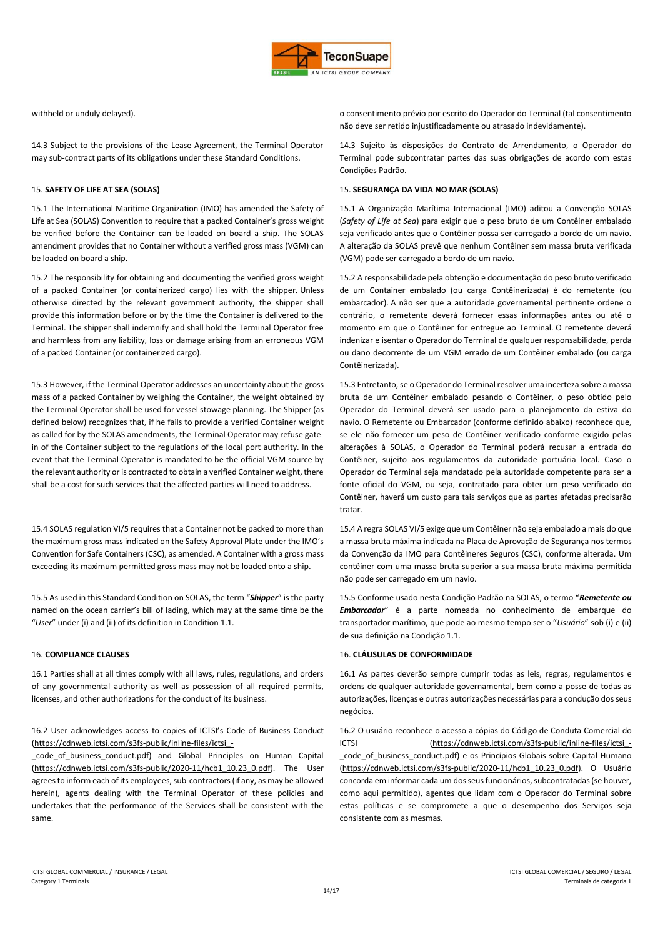

14.3 Subject to the provisions of the Lease Agreement, the Terminal Operator may sub-contract parts of its obligations under these Standard Conditions.

15.1 The International Maritime Organization (IMO) has amended the Safety of Life at Sea (SOLAS) Convention to require that a packed Container's gross weight be verified before the Container can be loaded on board a ship. The SOLAS amendment provides that no Container without a verified gross mass (VGM) can be loaded on board a ship.

15.2 The responsibility for obtaining and documenting the verified gross weight of a packed Container (or containerized cargo) lies with the shipper. Unless otherwise directed by the relevant government authority, the shipper shall provide this information before or by the time the Container is delivered to the Terminal. The shipper shall indemnify and shall hold the Terminal Operator free and harmless from any liability, loss or damage arising from an erroneous VGM of a packed Container (or containerized cargo).

15.3 However, if the Terminal Operator addresses an uncertainty about the gross mass of a packed Container by weighing the Container, the weight obtained by the Terminal Operator shall be used for vessel stowage planning. The Shipper (as defined below) recognizes that, if he fails to provide a verified Container weight as called for by the SOLAS amendments, the Terminal Operator may refuse gatein of the Container subject to the regulations of the local port authority. In the event that the Terminal Operator is mandated to be the official VGM source by the relevant authority or is contracted to obtain a verified Container weight, there shall be a cost for such services that the affected parties will need to address.

15.4 SOLAS regulation VI/5 requires that a Container not be packed to more than the maximum gross mass indicated on the Safety Approval Plate under the IMO's Convention for Safe Containers (CSC), as amended. A Container with a gross mass exceeding its maximum permitted gross mass may not be loaded onto a ship.

15.5 As used in this Standard Condition on SOLAS, the term "*Shipper*" is the party named on the ocean carrier's bill of lading, which may at the same time be the "*User*" under (i) and (ii) of its definition in Condition 1.1.

16.1 Parties shall at all times comply with all laws, rules, regulations, and orders of any governmental authority as well as possession of all required permits, licenses, and other authorizations for the conduct of its business.

16.2 User acknowledges access to copies of ICTSI's Code of Business Conduct (https://cdnweb.ictsi.com/s3fs-public/inline-files/ictsi\_-

code of business conduct.pdf) and Global Principles on Human Capital (https://cdnweb.ictsi.com/s3fs-public/2020-11/hcb1\_10.23\_0.pdf). The User agrees to inform each of its employees, sub-contractors (if any, as may be allowed herein), agents dealing with the Terminal Operator of these policies and undertakes that the performance of the Services shall be consistent with the same.

withheld or unduly delayed). o consentimento prévio por escrito do Operador do Terminal (tal consentimento não deve ser retido injustificadamente ou atrasado indevidamente).

> 14.3 Sujeito às disposições do Contrato de Arrendamento, o Operador do Terminal pode subcontratar partes das suas obrigações de acordo com estas Condições Padrão.

## 15. **SAFETY OF LIFE AT SEA (SOLAS)** 15. **SEGURANÇA DA VIDA NO MAR (SOLAS)**

15.1 A Organização Marítima Internacional (IMO) aditou a Convenção SOLAS (*Safety of Life at Sea*) para exigir que o peso bruto de um Contêiner embalado seja verificado antes que o Contêiner possa ser carregado a bordo de um navio. A alteração da SOLAS prevê que nenhum Contêiner sem massa bruta verificada (VGM) pode ser carregado a bordo de um navio.

15.2 A responsabilidade pela obtenção e documentação do peso bruto verificado de um Container embalado (ou carga Contêinerizada) é do remetente (ou embarcador). A não ser que a autoridade governamental pertinente ordene o contrário, o remetente deverá fornecer essas informações antes ou até o momento em que o Contêiner for entregue ao Terminal. O remetente deverá indenizar e isentar o Operador do Terminal de qualquer responsabilidade, perda ou dano decorrente de um VGM errado de um Contêiner embalado (ou carga Contêinerizada).

15.3 Entretanto, se o Operador do Terminal resolver uma incerteza sobre a massa bruta de um Contêiner embalado pesando o Contêiner, o peso obtido pelo Operador do Terminal deverá ser usado para o planejamento da estiva do navio. O Remetente ou Embarcador (conforme definido abaixo) reconhece que, se ele não fornecer um peso de Contêiner verificado conforme exigido pelas alterações à SOLAS, o Operador do Terminal poderá recusar a entrada do Contêiner, sujeito aos regulamentos da autoridade portuária local. Caso o Operador do Terminal seja mandatado pela autoridade competente para ser a fonte oficial do VGM, ou seja, contratado para obter um peso verificado do Contêiner, haverá um custo para tais serviços que as partes afetadas precisarão tratar.

15.4 A regra SOLAS VI/5 exige que um Contêiner não seja embalado a mais do que a massa bruta máxima indicada na Placa de Aprovação de Segurança nos termos da Convenção da IMO para Contêineres Seguros (CSC), conforme alterada. Um contêiner com uma massa bruta superior a sua massa bruta máxima permitida não pode ser carregado em um navio.

15.5 Conforme usado nesta Condição Padrão na SOLAS, o termo "*Remetente ou Embarcador*" é a parte nomeada no conhecimento de embarque do transportador marítimo, que pode ao mesmo tempo ser o "*Usuário*" sob (i) e (ii) de sua definição na Condição 1.1.

# 16. **COMPLIANCE CLAUSES** 16. **CLÁUSULAS DE CONFORMIDADE**

16.1 As partes deverão sempre cumprir todas as leis, regras, regulamentos e ordens de qualquer autoridade governamental, bem como a posse de todas as autorizações, licenças e outras autorizações necessárias para a condução dos seus negócios.

16.2 O usuário reconhece o acesso a cópias do Código de Conduta Comercial do ICTSI (https://cdnweb.ictsi.com/s3fs-public/inline-files/ictsi\_ code of business conduct.pdf) e os Princípios Globais sobre Capital Humano (https://cdnweb.ictsi.com/s3fs-public/2020-11/hcb1\_10.23\_0.pdf). O Usuário concorda em informar cada um dos seus funcionários, subcontratadas (se houver, como aqui permitido), agentes que lidam com o Operador do Terminal sobre estas políticas e se compromete a que o desempenho dos Serviços seja consistente com as mesmas.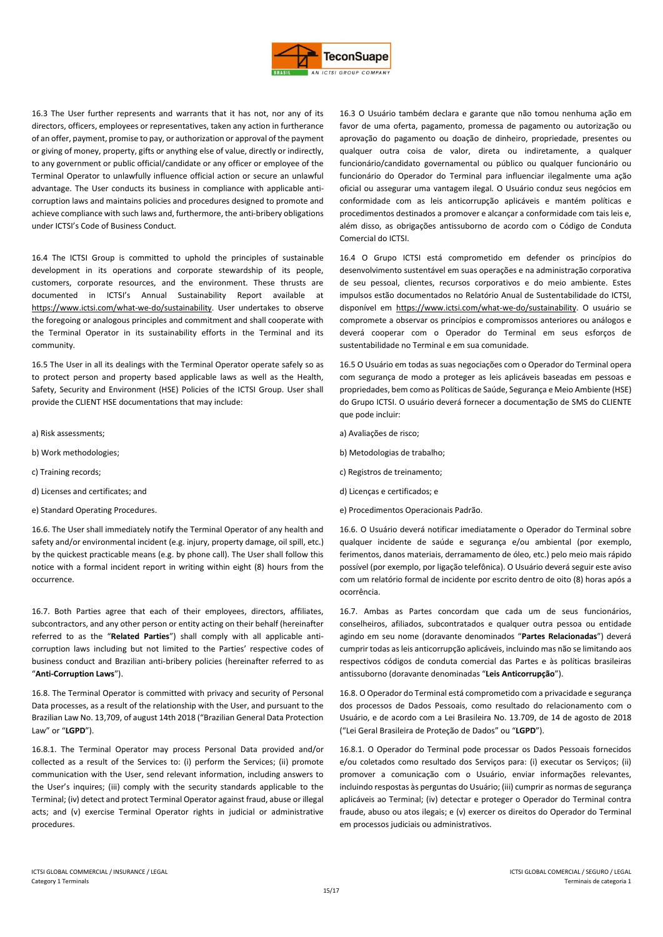

16.3 The User further represents and warrants that it has not, nor any of its directors, officers, employees or representatives, taken any action in furtherance of an offer, payment, promise to pay, or authorization or approval of the payment or giving of money, property, gifts or anything else of value, directly or indirectly, to any government or public official/candidate or any officer or employee of the Terminal Operator to unlawfully influence official action or secure an unlawful advantage. The User conducts its business in compliance with applicable anticorruption laws and maintains policies and procedures designed to promote and achieve compliance with such laws and, furthermore, the anti-bribery obligations under ICTSI's Code of Business Conduct.

16.4 The ICTSI Group is committed to uphold the principles of sustainable development in its operations and corporate stewardship of its people, customers, corporate resources, and the environment. These thrusts are documented in ICTSI's Annual Sustainability Report available at https://www.ictsi.com/what-we-do/sustainability. User undertakes to observe the foregoing or analogous principles and commitment and shall cooperate with the Terminal Operator in its sustainability efforts in the Terminal and its community.

16.5 The User in all its dealings with the Terminal Operator operate safely so as to protect person and property based applicable laws as well as the Health, Safety, Security and Environment (HSE) Policies of the ICTSI Group. User shall provide the CLIENT HSE documentations that may include:

- a) Risk assessments; a) Avaliações de risco;
- 
- 
- d) Licenses and certificates; and d) Licenças e certificados; e
- 

16.6. The User shall immediately notify the Terminal Operator of any health and safety and/or environmental incident (e.g. injury, property damage, oil spill, etc.) by the quickest practicable means (e.g. by phone call). The User shall follow this notice with a formal incident report in writing within eight (8) hours from the occurrence.

16.7. Both Parties agree that each of their employees, directors, affiliates, subcontractors, and any other person or entity acting on their behalf (hereinafter referred to as the "**Related Parties**") shall comply with all applicable anticorruption laws including but not limited to the Parties' respective codes of business conduct and Brazilian anti-bribery policies (hereinafter referred to as "**Anti-Corruption Laws**").

16.8. The Terminal Operator is committed with privacy and security of Personal Data processes, as a result of the relationship with the User, and pursuant to the Brazilian Law No. 13,709, of august 14th 2018 ("Brazilian General Data Protection Law" or "**LGPD**").

16.8.1. The Terminal Operator may process Personal Data provided and/or collected as a result of the Services to: (i) perform the Services; (ii) promote communication with the User, send relevant information, including answers to the User's inquires; (iii) comply with the security standards applicable to the Terminal; (iv) detect and protect Terminal Operator against fraud, abuse or illegal acts; and (v) exercise Terminal Operator rights in judicial or administrative procedures.

16.3 O Usuário também declara e garante que não tomou nenhuma ação em favor de uma oferta, pagamento, promessa de pagamento ou autorização ou aprovação do pagamento ou doação de dinheiro, propriedade, presentes ou qualquer outra coisa de valor, direta ou indiretamente, a qualquer funcionário/candidato governamental ou público ou qualquer funcionário ou funcionário do Operador do Terminal para influenciar ilegalmente uma ação oficial ou assegurar uma vantagem ilegal. O Usuário conduz seus negócios em conformidade com as leis anticorrupção aplicáveis e mantém políticas e procedimentos destinados a promover e alcançar a conformidade com tais leis e, além disso, as obrigações antissuborno de acordo com o Código de Conduta Comercial do ICTSI.

16.4 O Grupo ICTSI está comprometido em defender os princípios do desenvolvimento sustentável em suas operações e na administração corporativa de seu pessoal, clientes, recursos corporativos e do meio ambiente. Estes impulsos estão documentados no Relatório Anual de Sustentabilidade do ICTSI, disponível em https://www.ictsi.com/what-we-do/sustainability. O usuário se compromete a observar os princípios e compromissos anteriores ou análogos e deverá cooperar com o Operador do Terminal em seus esforços de sustentabilidade no Terminal e em sua comunidade.

16.5 O Usuário em todas as suas negociações com o Operador do Terminal opera com segurança de modo a proteger as leis aplicáveis baseadas em pessoas e propriedades, bem como as Políticas de Saúde, Segurança e Meio Ambiente (HSE) do Grupo ICTSI. O usuário deverá fornecer a documentação de SMS do CLIENTE que pode incluir:

- 
- b) Work methodologies; b) Metodologias de trabalho;
- c) Training records; c) Registros de treinamento;
	-
- e) Standard Operating Procedures. e) Procedimentos Operacionais Padrão.

16.6. O Usuário deverá notificar imediatamente o Operador do Terminal sobre qualquer incidente de saúde e segurança e/ou ambiental (por exemplo, ferimentos, danos materiais, derramamento de óleo, etc.) pelo meio mais rápido possível (por exemplo, por ligação telefônica). O Usuário deverá seguir este aviso com um relatório formal de incidente por escrito dentro de oito (8) horas após a ocorrência.

16.7. Ambas as Partes concordam que cada um de seus funcionários, conselheiros, afiliados, subcontratados e qualquer outra pessoa ou entidade agindo em seu nome (doravante denominados "**Partes Relacionadas**") deverá cumprir todas as leis anticorrupção aplicáveis, incluindo mas não se limitando aos respectivos códigos de conduta comercial das Partes e às políticas brasileiras antissuborno (doravante denominadas "**Leis Anticorrupção**").

16.8. O Operador do Terminal está comprometido com a privacidade e segurança dos processos de Dados Pessoais, como resultado do relacionamento com o Usuário, e de acordo com a Lei Brasileira No. 13.709, de 14 de agosto de 2018 ("Lei Geral Brasileira de Proteção de Dados" ou "**LGPD**").

16.8.1. O Operador do Terminal pode processar os Dados Pessoais fornecidos e/ou coletados como resultado dos Serviços para: (i) executar os Serviços; (ii) promover a comunicação com o Usuário, enviar informações relevantes, incluindo respostas às perguntas do Usuário; (iii) cumprir as normas de segurança aplicáveis ao Terminal; (iv) detectar e proteger o Operador do Terminal contra fraude, abuso ou atos ilegais; e (v) exercer os direitos do Operador do Terminal em processos judiciais ou administrativos.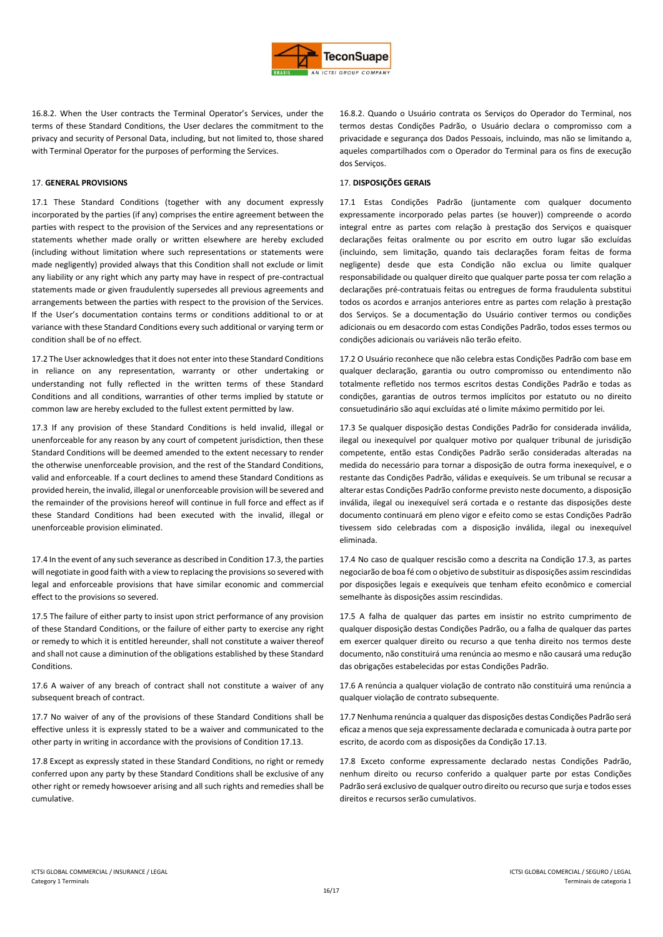

16.8.2. When the User contracts the Terminal Operator's Services, under the terms of these Standard Conditions, the User declares the commitment to the privacy and security of Personal Data, including, but not limited to, those shared with Terminal Operator for the purposes of performing the Services.

# 17. **GENERAL PROVISIONS** 17. **DISPOSIÇÕES GERAIS**

17.1 These Standard Conditions (together with any document expressly incorporated by the parties (if any) comprises the entire agreement between the parties with respect to the provision of the Services and any representations or statements whether made orally or written elsewhere are hereby excluded (including without limitation where such representations or statements were made negligently) provided always that this Condition shall not exclude or limit any liability or any right which any party may have in respect of pre-contractual statements made or given fraudulently supersedes all previous agreements and arrangements between the parties with respect to the provision of the Services. If the User's documentation contains terms or conditions additional to or at variance with these Standard Conditions every such additional or varying term or condition shall be of no effect.

17.2 The User acknowledges that it does not enter into these Standard Conditions in reliance on any representation, warranty or other undertaking or understanding not fully reflected in the written terms of these Standard Conditions and all conditions, warranties of other terms implied by statute or common law are hereby excluded to the fullest extent permitted by law.

17.3 If any provision of these Standard Conditions is held invalid, illegal or unenforceable for any reason by any court of competent jurisdiction, then these Standard Conditions will be deemed amended to the extent necessary to render the otherwise unenforceable provision, and the rest of the Standard Conditions, valid and enforceable. If a court declines to amend these Standard Conditions as provided herein, the invalid, illegal or unenforceable provision will be severed and the remainder of the provisions hereof will continue in full force and effect as if these Standard Conditions had been executed with the invalid, illegal or unenforceable provision eliminated.

17.4 In the event of any such severance as described in Condition 17.3, the parties will negotiate in good faith with a view to replacing the provisions so severed with legal and enforceable provisions that have similar economic and commercial effect to the provisions so severed.

17.5 The failure of either party to insist upon strict performance of any provision of these Standard Conditions, or the failure of either party to exercise any right or remedy to which it is entitled hereunder, shall not constitute a waiver thereof and shall not cause a diminution of the obligations established by these Standard Conditions.

17.6 A waiver of any breach of contract shall not constitute a waiver of any subsequent breach of contract.

17.7 No waiver of any of the provisions of these Standard Conditions shall be effective unless it is expressly stated to be a waiver and communicated to the other party in writing in accordance with the provisions of Condition 17.13.

17.8 Except as expressly stated in these Standard Conditions, no right or remedy conferred upon any party by these Standard Conditions shall be exclusive of any other right or remedy howsoever arising and all such rights and remedies shall be cumulative.

16.8.2. Quando o Usuário contrata os Serviços do Operador do Terminal, nos termos destas Condições Padrão, o Usuário declara o compromisso com a privacidade e segurança dos Dados Pessoais, incluindo, mas não se limitando a, aqueles compartilhados com o Operador do Terminal para os fins de execução dos Serviços.

17.1 Estas Condições Padrão (juntamente com qualquer documento expressamente incorporado pelas partes (se houver)) compreende o acordo integral entre as partes com relação à prestação dos Serviços e quaisquer declarações feitas oralmente ou por escrito em outro lugar são excluídas (incluindo, sem limitação, quando tais declarações foram feitas de forma negligente) desde que esta Condição não exclua ou limite qualquer responsabilidade ou qualquer direito que qualquer parte possa ter com relação a declarações pré-contratuais feitas ou entregues de forma fraudulenta substitui todos os acordos e arranjos anteriores entre as partes com relação à prestação dos Serviços. Se a documentação do Usuário contiver termos ou condições adicionais ou em desacordo com estas Condições Padrão, todos esses termos ou condições adicionais ou variáveis não terão efeito.

17.2 O Usuário reconhece que não celebra estas Condições Padrão com base em qualquer declaração, garantia ou outro compromisso ou entendimento não totalmente refletido nos termos escritos destas Condições Padrão e todas as condições, garantias de outros termos implícitos por estatuto ou no direito consuetudinário são aqui excluídas até o limite máximo permitido por lei.

17.3 Se qualquer disposição destas Condições Padrão for considerada inválida, ilegal ou inexequível por qualquer motivo por qualquer tribunal de jurisdição competente, então estas Condições Padrão serão consideradas alteradas na medida do necessário para tornar a disposição de outra forma inexequível, e o restante das Condições Padrão, válidas e exequíveis. Se um tribunal se recusar a alterar estas Condições Padrão conforme previsto neste documento, a disposição inválida, ilegal ou inexequível será cortada e o restante das disposições deste documento continuará em pleno vigor e efeito como se estas Condições Padrão tivessem sido celebradas com a disposição inválida, ilegal ou inexequível eliminada.

17.4 No caso de qualquer rescisão como a descrita na Condição 17.3, as partes negociarão de boa fé com o objetivo de substituir as disposições assim rescindidas por disposições legais e exequíveis que tenham efeito econômico e comercial semelhante às disposições assim rescindidas.

17.5 A falha de qualquer das partes em insistir no estrito cumprimento de qualquer disposição destas Condições Padrão, ou a falha de qualquer das partes em exercer qualquer direito ou recurso a que tenha direito nos termos deste documento, não constituirá uma renúncia ao mesmo e não causará uma redução das obrigações estabelecidas por estas Condições Padrão.

17.6 A renúncia a qualquer violação de contrato não constituirá uma renúncia a qualquer violação de contrato subsequente.

17.7 Nenhuma renúncia a qualquer das disposições destas Condições Padrão será eficaz a menos que seja expressamente declarada e comunicada à outra parte por escrito, de acordo com as disposições da Condição 17.13.

17.8 Exceto conforme expressamente declarado nestas Condições Padrão, nenhum direito ou recurso conferido a qualquer parte por estas Condições Padrão será exclusivo de qualquer outro direito ou recurso que surja e todos esses direitos e recursos serão cumulativos.